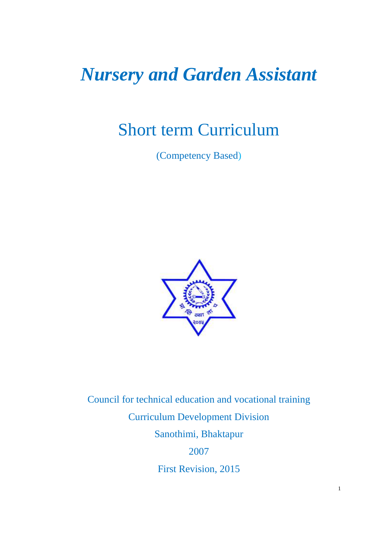# *Nursery and Garden Assistant*

# Short term Curriculum

(Competency Based)



Council for technical education and vocational training Curriculum Development Division Sanothimi, Bhaktapur 2007

First Revision, 2015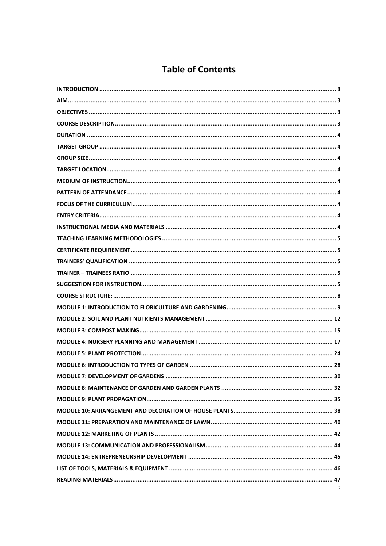### **Table of Contents**

| 2 |
|---|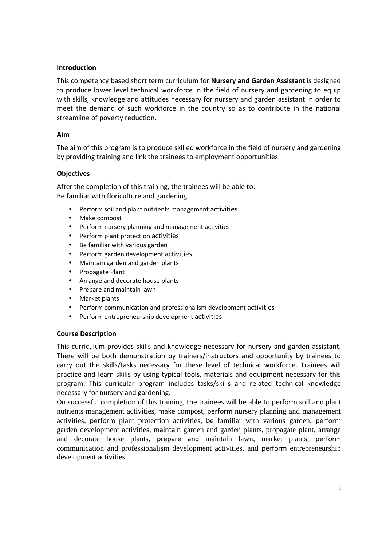### **Introduction**

This competency based short term curriculum for **Nursery and Garden Assistant** is designed to produce lower level technical workforce in the field of nursery and gardening to equip with skills, knowledge and attitudes necessary for nursery and garden assistant in order to meet the demand of such workforce in the country so as to contribute in the national streamline of poverty reduction.

### **Aim**

The aim of this program is to produce skilled workforce in the field of nursery and gardening by providing training and link the trainees to employment opportunities.

### **Objectives**

After the completion of this training, the trainees will be able to: Be familiar with floriculture and gardening

- Perform soil and plant nutrients management activities
- Make compost
- Perform nursery planning and management activities
- Perform plant protection activities
- Be familiar with various garden
- Perform garden development activities
- Maintain garden and garden plants
- Propagate Plant
- Arrange and decorate house plants
- Prepare and maintain lawn
- Market plants
- Perform communication and professionalism development activities
- Perform entrepreneurship development activities

#### **Course Description**

This curriculum provides skills and knowledge necessary for nursery and garden assistant. There will be both demonstration by trainers/instructors and opportunity by trainees to carry out the skills/tasks necessary for these level of technical workforce. Trainees will practice and learn skills by using typical tools, materials and equipment necessary for this program. This curricular program includes tasks/skills and related technical knowledge necessary for nursery and gardening.

On successful completion of this training, the trainees will be able to perform soil and plant nutrients management activities, make compost, perform nursery planning and management activities, perform plant protection activities, be familiar with various garden, perform garden development activities, maintain garden and garden plants, propagate plant, arrange and decorate house plants, prepare and maintain lawn, market plants, perform communication and professionalism development activities, and perform entrepreneurship development activities.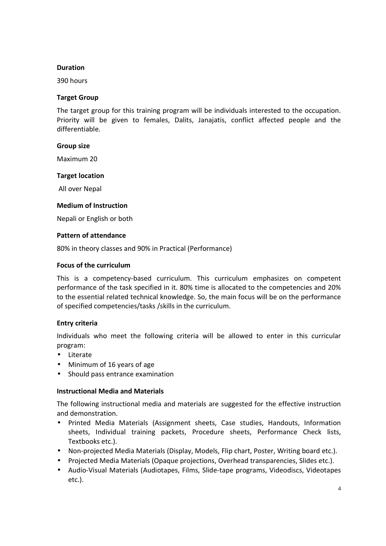#### **Duration**

390 hours

### **Target Group**

The target group for this training program will be individuals interested to the occupation. Priority will be given to females, Dalits, Janajatis, conflict affected people and the differentiable.

### **Group size**

Maximum 20

### **Target location**

All over Nepal

### **Medium of Instruction**

Nepali or English or both

### **Pattern of attendance**

80% in theory classes and 90% in Practical (Performance)

### **Focus of the curriculum**

This is a competency-based curriculum. This curriculum emphasizes on competent performance of the task specified in it. 80% time is allocated to the competencies and 20% to the essential related technical knowledge. So, the main focus will be on the performance of specified competencies/tasks /skills in the curriculum.

### **Entry criteria**

Individuals who meet the following criteria will be allowed to enter in this curricular program:

- Literate
- Minimum of 16 years of age
- Should pass entrance examination

#### **Instructional Media and Materials**

The following instructional media and materials are suggested for the effective instruction and demonstration.

- Printed Media Materials (Assignment sheets, Case studies, Handouts, Information sheets, Individual training packets, Procedure sheets, Performance Check lists, Textbooks etc.).
- Non-projected Media Materials (Display, Models, Flip chart, Poster, Writing board etc.).
- Projected Media Materials (Opaque projections, Overhead transparencies, Slides etc.).
- Audio-Visual Materials (Audiotapes, Films, Slide-tape programs, Videodiscs, Videotapes etc.).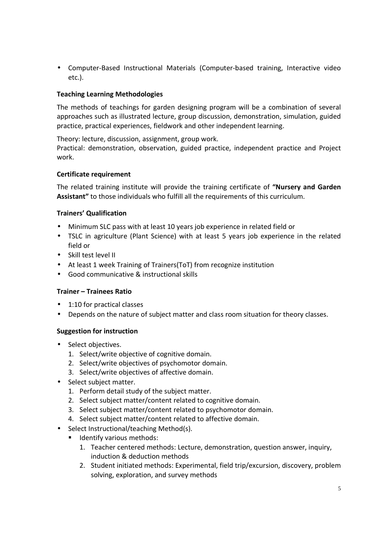• Computer-Based Instructional Materials (Computer-based training, Interactive video etc.).

### **Teaching Learning Methodologies**

The methods of teachings for garden designing program will be a combination of several approaches such as illustrated lecture, group discussion, demonstration, simulation, guided practice, practical experiences, fieldwork and other independent learning.

Theory: lecture, discussion, assignment, group work.

Practical: demonstration, observation, guided practice, independent practice and Project work.

### **Certificate requirement**

The related training institute will provide the training certificate of **"Nursery and Garden Assistant"** to those individuals who fulfill all the requirements of this curriculum.

### **Trainers' Qualification**

- Minimum SLC pass with at least 10 years job experience in related field or
- TSLC in agriculture (Plant Science) with at least 5 years job experience in the related field or
- Skill test level II
- At least 1 week Training of Trainers(ToT) from recognize institution
- Good communicative & instructional skills

#### **Trainer – Trainees Ratio**

- 1:10 for practical classes
- Depends on the nature of subject matter and class room situation for theory classes.

#### **Suggestion for instruction**

- Select objectives.
	- 1. Select/write objective of cognitive domain.
	- 2. Select/write objectives of psychomotor domain.
	- 3. Select/write objectives of affective domain.
- Select subject matter.
	- 1. Perform detail study of the subject matter.
	- 2. Select subject matter/content related to cognitive domain.
	- 3. Select subject matter/content related to psychomotor domain.
	- 4. Select subject matter/content related to affective domain.
- Select Instructional/teaching Method(s).
	- **IDENTIFY VALIOUS METHODS:** 
		- 1. Teacher centered methods: Lecture, demonstration, question answer, inquiry, induction & deduction methods
		- 2. Student initiated methods: Experimental, field trip/excursion, discovery, problem solving, exploration, and survey methods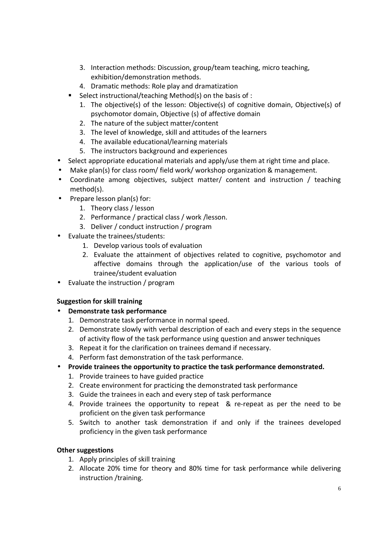- 3. Interaction methods: Discussion, group/team teaching, micro teaching, exhibition/demonstration methods.
- 4. Dramatic methods: Role play and dramatization
- Select instructional/teaching Method(s) on the basis of :
	- 1. The objective(s) of the lesson: Objective(s) of cognitive domain, Objective(s) of psychomotor domain, Objective (s) of affective domain
	- 2. The nature of the subject matter/content
	- 3. The level of knowledge, skill and attitudes of the learners
	- 4. The available educational/learning materials
	- 5. The instructors background and experiences
- Select appropriate educational materials and apply/use them at right time and place.
- Make plan(s) for class room/ field work/ workshop organization & management.
- Coordinate among objectives, subject matter/ content and instruction / teaching method(s).
- Prepare lesson plan(s) for:
	- 1. Theory class / lesson
	- 2. Performance / practical class / work /lesson.
	- 3. Deliver / conduct instruction / program
- Evaluate the trainees/students:
	- 1. Develop various tools of evaluation
	- 2. Evaluate the attainment of objectives related to cognitive, psychomotor and affective domains through the application/use of the various tools of trainee/student evaluation
- Evaluate the instruction / program

### **Suggestion for skill training**

- **Demonstrate task performance** 
	- 1. Demonstrate task performance in normal speed.
	- 2. Demonstrate slowly with verbal description of each and every steps in the sequence of activity flow of the task performance using question and answer techniques
	- 3. Repeat it for the clarification on trainees demand if necessary.
	- 4. Perform fast demonstration of the task performance.
- **Provide trainees the opportunity to practice the task performance demonstrated.** 
	- 1. Provide trainees to have guided practice
	- 2. Create environment for practicing the demonstrated task performance
	- 3. Guide the trainees in each and every step of task performance
	- 4. Provide trainees the opportunity to repeat & re-repeat as per the need to be proficient on the given task performance
	- 5. Switch to another task demonstration if and only if the trainees developed proficiency in the given task performance

### **Other suggestions**

- 1. Apply principles of skill training
- 2. Allocate 20% time for theory and 80% time for task performance while delivering instruction /training.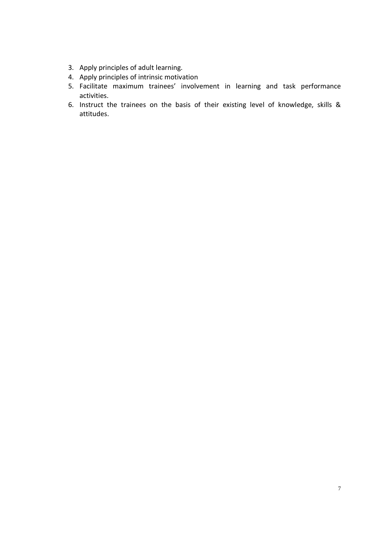- 3. Apply principles of adult learning.
- 4. Apply principles of intrinsic motivation
- 5. Facilitate maximum trainees' involvement in learning and task performance activities.
- 6. Instruct the trainees on the basis of their existing level of knowledge, skills & attitudes.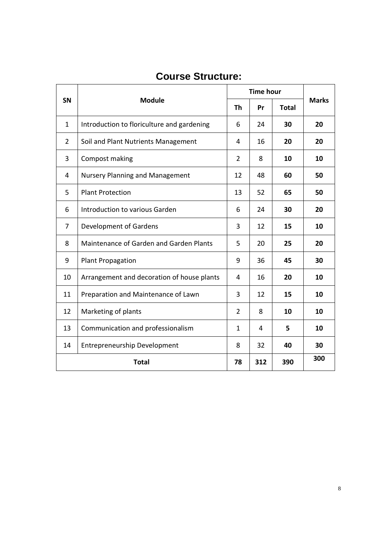|              | <b>Module</b>                              |                | <b>Time hour</b> |              |              |  |
|--------------|--------------------------------------------|----------------|------------------|--------------|--------------|--|
| <b>SN</b>    |                                            |                | Pr               | <b>Total</b> | <b>Marks</b> |  |
| $\mathbf{1}$ | Introduction to floriculture and gardening | 6              | 24               | 30           | 20           |  |
| 2            | Soil and Plant Nutrients Management        | 4              | 16               | 20           | 20           |  |
| 3            | Compost making                             | $\overline{2}$ | 8                | 10           | 10           |  |
| 4            | <b>Nursery Planning and Management</b>     | 12             | 48               | 60           | 50           |  |
| 5            | <b>Plant Protection</b>                    | 13             | 52               | 65           | 50           |  |
| 6            | Introduction to various Garden             | 6              | 24               | 30           | 20           |  |
| 7            | Development of Gardens                     | 3              | 12               | 15           | 10           |  |
| 8            | Maintenance of Garden and Garden Plants    | 5              | 20               | 25           | 20           |  |
| 9            | <b>Plant Propagation</b>                   | 9              | 36               | 45           | 30           |  |
| 10           | Arrangement and decoration of house plants | 4              | 16               | 20           | 10           |  |
| 11           | Preparation and Maintenance of Lawn        | 3              | 12               | 15           | 10           |  |
| 12           | Marketing of plants                        | $\overline{2}$ | 8                | 10           | 10           |  |
| 13           | Communication and professionalism          | $\mathbf{1}$   | 4                | 5            | 10           |  |
| 14           | <b>Entrepreneurship Development</b>        | 8              | 32               | 40           | 30           |  |
|              | <b>Total</b>                               |                |                  | 390          | 300          |  |

# **Course Structure:**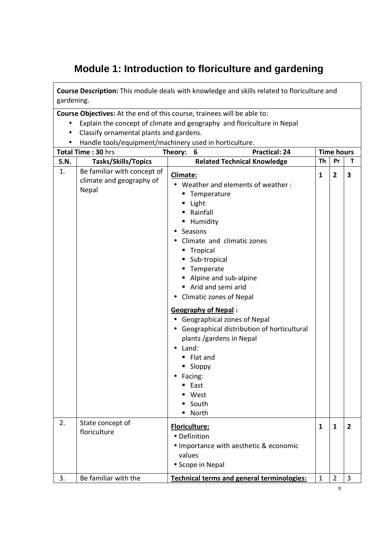## **Module 1: Introduction to floriculture and gardening**

**Course Description:** This module deals with knowledge and skills related to floriculture and gardening.

- Explain the concept of climate and geography and floriculture in Nepal
- Classify ornamental plants and gardens.
- Handle tools/equipment/machinery used in horticulture.

|             | Total Time: 30 hrs                                               | <b>Practical: 24</b><br>Theory:<br>6                                                                                                                                                                                                                                                                                                                                                                                                                                                               |              | <b>Time hours</b> |                |
|-------------|------------------------------------------------------------------|----------------------------------------------------------------------------------------------------------------------------------------------------------------------------------------------------------------------------------------------------------------------------------------------------------------------------------------------------------------------------------------------------------------------------------------------------------------------------------------------------|--------------|-------------------|----------------|
| <b>S.N.</b> | Tasks/Skills/Topics                                              | <b>Related Technical Knowledge</b>                                                                                                                                                                                                                                                                                                                                                                                                                                                                 | Th           | Pr                | т              |
| 1.          | Be familiar with concept of<br>climate and geography of<br>Nepal | <b>Climate:</b><br>Weather and elements of weather:<br>■ Temperature<br>Light<br>Rainfall<br>- Humidity<br>Seasons<br>Climate and climatic zones<br>■ Tropical<br>■ Sub-tropical<br>Temperate<br>Alpine and sub-alpine<br>Arid and semi arid<br>Climatic zones of Nepal<br><b>Geography of Nepal:</b><br>Geographical zones of Nepal<br>Geographical distribution of horticultural<br>plants /gardens in Nepal<br>Land:<br>■ Flat and<br>■ Sloppy<br>Facing:<br>■ East<br>West<br>South<br>■ North | 1            | $\overline{2}$    | 3              |
| 2.          | State concept of<br>floriculture                                 | Floriculture:<br>• Definition<br>• Importance with aesthetic & economic<br>values<br>• Scope in Nepal                                                                                                                                                                                                                                                                                                                                                                                              | $\mathbf{1}$ | 1                 | $\overline{2}$ |
| 3.          | Be familiar with the                                             | Technical terms and general terminologies:                                                                                                                                                                                                                                                                                                                                                                                                                                                         | $\mathbf{1}$ | $\overline{2}$    | 3              |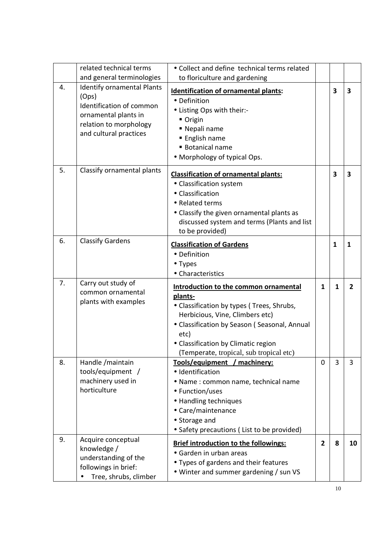|    | related technical terms<br>and general terminologies                                                                                               | • Collect and define technical terms related<br>to floriculture and gardening                                                                                                                                                                                              |                |              |                |
|----|----------------------------------------------------------------------------------------------------------------------------------------------------|----------------------------------------------------------------------------------------------------------------------------------------------------------------------------------------------------------------------------------------------------------------------------|----------------|--------------|----------------|
| 4. | <b>Identify ornamental Plants</b><br>(Ops)<br>Identification of common<br>ornamental plants in<br>relation to morphology<br>and cultural practices | <b>Identification of ornamental plants:</b><br>• Definition<br>• Listing Ops with their:-<br>■ Origin<br>■ Nepali name<br>■ English name<br><b>Botanical name</b><br>• Morphology of typical Ops.                                                                          |                | 3            | 3              |
| 5. | Classify ornamental plants                                                                                                                         | <b>Classification of ornamental plants:</b><br>• Classification system<br>• Classification<br>• Related terms<br>• Classify the given ornamental plants as<br>discussed system and terms (Plants and list<br>to be provided)                                               |                | 3            | 3              |
| 6. | <b>Classify Gardens</b>                                                                                                                            | <b>Classification of Gardens</b><br>• Definition<br>• Types<br>• Characteristics                                                                                                                                                                                           |                | $\mathbf{1}$ | 1              |
| 7. | Carry out study of<br>common ornamental<br>plants with examples                                                                                    | Introduction to the common ornamental<br>plants-<br>• Classification by types (Trees, Shrubs,<br>Herbicious, Vine, Climbers etc)<br>• Classification by Season (Seasonal, Annual<br>etc)<br>• Classification by Climatic region<br>(Temperate, tropical, sub tropical etc) | 1              | $\mathbf{1}$ | $\overline{2}$ |
| 8. | Handle / maintain<br>tools/equipment /<br>machinery used in<br>horticulture                                                                        | Tools/equipment<br>machinery:<br>· Identification<br>• Name: common name, technical name<br>• Function/uses<br>• Handling techniques<br>• Care/maintenance<br>• Storage and<br>• Safety precautions (List to be provided)                                                  | 0              | 3            | 3              |
| 9. | Acquire conceptual<br>knowledge /<br>understanding of the<br>followings in brief:<br>Tree, shrubs, climber                                         | <b>Brief introduction to the followings:</b><br>• Garden in urban areas<br>• Types of gardens and their features<br>• Winter and summer gardening / sun VS                                                                                                                 | $\overline{2}$ | 8            | 10             |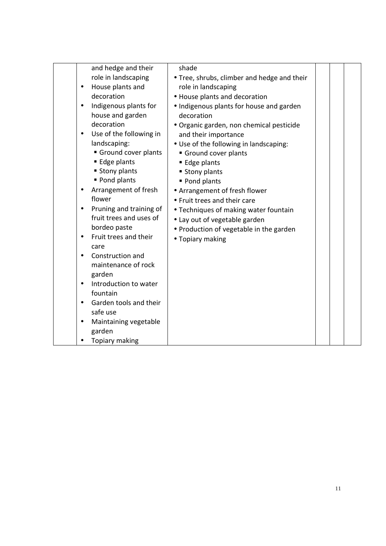| and hedge and their                  | shade                                       |  |
|--------------------------------------|---------------------------------------------|--|
| role in landscaping                  | • Tree, shrubs, climber and hedge and their |  |
| House plants and<br>$\bullet$        | role in landscaping                         |  |
| decoration                           | • House plants and decoration               |  |
| Indigenous plants for<br>$\bullet$   | • Indigenous plants for house and garden    |  |
| house and garden                     | decoration                                  |  |
| decoration                           | • Organic garden, non chemical pesticide    |  |
| Use of the following in<br>$\bullet$ | and their importance                        |  |
| landscaping:                         | • Use of the following in landscaping:      |  |
| Ground cover plants                  | Ground cover plants                         |  |
| ■ Edge plants                        | ■ Edge plants                               |  |
| ■ Stony plants                       | ■ Stony plants                              |  |
| ■ Pond plants                        | Pond plants                                 |  |
| Arrangement of fresh                 | • Arrangement of fresh flower               |  |
| flower                               | • Fruit trees and their care                |  |
| Pruning and training of              | • Techniques of making water fountain       |  |
| fruit trees and uses of              | • Lay out of vegetable garden               |  |
| bordeo paste                         | • Production of vegetable in the garden     |  |
| Fruit trees and their<br>٠           | • Topiary making                            |  |
| care                                 |                                             |  |
| Construction and                     |                                             |  |
| maintenance of rock                  |                                             |  |
| garden                               |                                             |  |
| Introduction to water                |                                             |  |
| fountain                             |                                             |  |
| Garden tools and their               |                                             |  |
| safe use                             |                                             |  |
| Maintaining vegetable                |                                             |  |
| garden                               |                                             |  |
| Topiary making                       |                                             |  |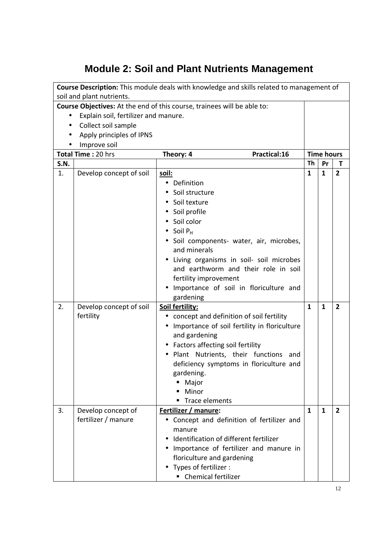# **Module 2: Soil and Plant Nutrients Management**

|             | Course Description: This module deals with knowledge and skills related to management of                |                                                                                                                                                                                                                                                                                                                                             |              |                   |                |  |  |
|-------------|---------------------------------------------------------------------------------------------------------|---------------------------------------------------------------------------------------------------------------------------------------------------------------------------------------------------------------------------------------------------------------------------------------------------------------------------------------------|--------------|-------------------|----------------|--|--|
|             | soil and plant nutrients.<br>Course Objectives: At the end of this course, trainees will be able to:    |                                                                                                                                                                                                                                                                                                                                             |              |                   |                |  |  |
|             | Explain soil, fertilizer and manure.<br>Collect soil sample<br>Apply principles of IPNS<br>Improve soil |                                                                                                                                                                                                                                                                                                                                             |              |                   |                |  |  |
|             | Total Time: 20 hrs                                                                                      | Theory: 4<br>Practical:16                                                                                                                                                                                                                                                                                                                   |              | <b>Time hours</b> |                |  |  |
| <b>S.N.</b> |                                                                                                         |                                                                                                                                                                                                                                                                                                                                             | Th           | Pr                | т              |  |  |
| 1.          | Develop concept of soil                                                                                 | <u>soil:</u><br>Definition<br>Soil structure<br>Soil texture<br>Soil profile<br>Soil color<br>$\bullet$ Soil P <sub>H</sub><br>Soil components- water, air, microbes,<br>and minerals<br>Living organisms in soil- soil microbes<br>and earthworm and their role in soil<br>fertility improvement<br>Importance of soil in floriculture and | $\mathbf{1}$ | $\mathbf{1}$      | $\overline{2}$ |  |  |
| 2.          | Develop concept of soil<br>fertility                                                                    | gardening<br>Soil fertility:<br>concept and definition of soil fertility<br>$\bullet$<br>Importance of soil fertility in floriculture<br>and gardening<br>Factors affecting soil fertility<br>Plant Nutrients, their functions and<br>deficiency symptoms in floriculture and<br>gardening.<br>Major<br>Minor<br>Trace elements             | $\mathbf{1}$ | $\mathbf{1}$      | $\overline{2}$ |  |  |
| 3.          | Develop concept of<br>fertilizer / manure                                                               | Fertilizer / manure:<br>Concept and definition of fertilizer and<br>manure<br>Identification of different fertilizer<br>Importance of fertilizer and manure in<br>floriculture and gardening<br>Types of fertilizer:<br>• Chemical fertilizer                                                                                               | $\mathbf{1}$ | $\mathbf{1}$      | $\overline{2}$ |  |  |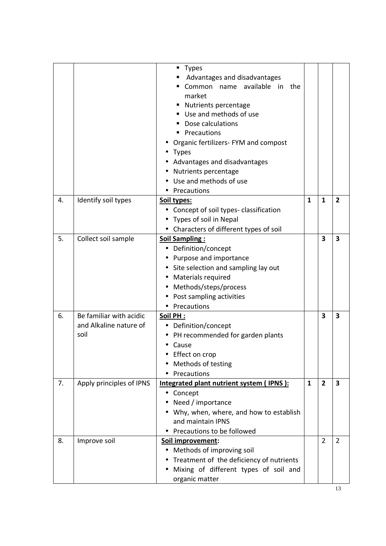|    |                                                           | <b>Types</b><br>Advantages and disadvantages<br>available<br>Common name<br>in<br>the<br>market<br><b>Nutrients percentage</b><br>Use and methods of use<br>Dose calculations<br>Precautions<br>Organic fertilizers- FYM and compost<br><b>Types</b><br>Advantages and disadvantages<br>Nutrients percentage<br>Use and methods of use<br>Precautions |              |                         |                         |
|----|-----------------------------------------------------------|-------------------------------------------------------------------------------------------------------------------------------------------------------------------------------------------------------------------------------------------------------------------------------------------------------------------------------------------------------|--------------|-------------------------|-------------------------|
| 4. | Identify soil types                                       | Soil types:<br>Concept of soil types- classification<br>$\bullet$<br>Types of soil in Nepal<br>• Characters of different types of soil                                                                                                                                                                                                                | $\mathbf{1}$ | $\mathbf{1}$            | $\overline{2}$          |
| 5. | Collect soil sample                                       | <b>Soil Sampling:</b><br>• Definition/concept<br>Purpose and importance<br>Site selection and sampling lay out<br>Materials required<br>Methods/steps/process<br>Post sampling activities<br>Precautions<br>$\bullet$                                                                                                                                 |              | 3                       | 3                       |
| 6. | Be familiar with acidic<br>and Alkaline nature of<br>soil | Soil PH:<br>Definition/concept<br>$\bullet$<br>PH recommended for garden plants<br>Cause<br>Effect on crop<br>Methods of testing<br>Precautions                                                                                                                                                                                                       |              | $\overline{\mathbf{3}}$ | $\overline{\mathbf{3}}$ |
| 7. | Apply principles of IPNS                                  | Integrated plant nutrient system (IPNS):<br>Concept<br>Need / importance<br>Why, when, where, and how to establish<br>and maintain IPNS<br>Precautions to be followed                                                                                                                                                                                 | 1            | $\overline{2}$          | 3                       |
| 8. | Improve soil                                              | Soil improvement:<br>Methods of improving soil<br>$\bullet$<br>Treatment of the deficiency of nutrients<br>Mixing of different types of soil and<br>organic matter                                                                                                                                                                                    |              | $\overline{2}$          | $\overline{2}$          |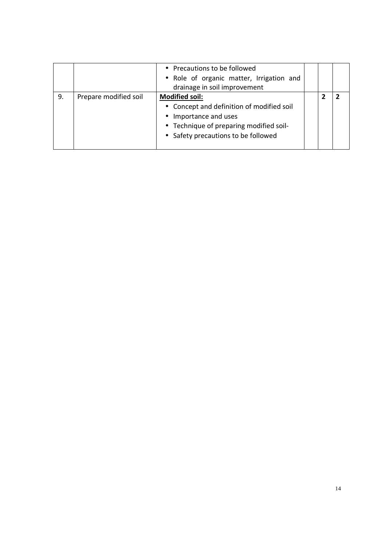|    |                       | • Precautions to be followed<br>• Role of organic matter, Irrigation and<br>drainage in soil improvement                                                                      |  |  |
|----|-----------------------|-------------------------------------------------------------------------------------------------------------------------------------------------------------------------------|--|--|
| 9. | Prepare modified soil | <b>Modified soil:</b><br>• Concept and definition of modified soil<br>• Importance and uses<br>• Technique of preparing modified soil-<br>• Safety precautions to be followed |  |  |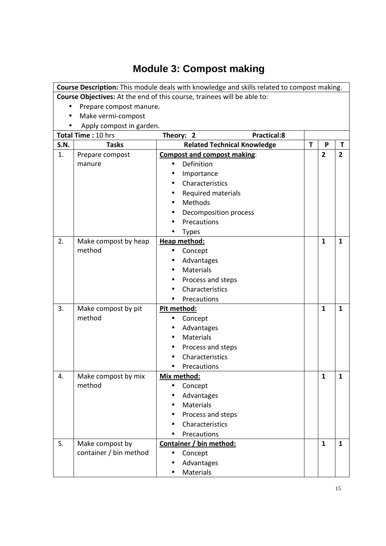# **Module 3: Compost making**

|             |                          | Course Description: This module deals with knowledge and skills related to compost making. |   |                |                |
|-------------|--------------------------|--------------------------------------------------------------------------------------------|---|----------------|----------------|
|             |                          | Course Objectives: At the end of this course, trainees will be able to:                    |   |                |                |
|             | Prepare compost manure.  |                                                                                            |   |                |                |
|             | Make vermi-compost       |                                                                                            |   |                |                |
|             | Apply compost in garden. |                                                                                            |   |                |                |
|             | Total Time: 10 hrs       | <b>Practical:8</b><br>Theory: 2                                                            |   |                |                |
| <b>S.N.</b> | <b>Tasks</b>             | <b>Related Technical Knowledge</b>                                                         | T | P              | T              |
| 1.          | Prepare compost          | <b>Compost and compost making:</b>                                                         |   | $\overline{2}$ | $\overline{2}$ |
|             | manure                   | Definition                                                                                 |   |                |                |
|             |                          | Importance                                                                                 |   |                |                |
|             |                          | Characteristics                                                                            |   |                |                |
|             |                          | Required materials                                                                         |   |                |                |
|             |                          | Methods                                                                                    |   |                |                |
|             |                          | Decomposition process                                                                      |   |                |                |
|             |                          | Precautions                                                                                |   |                |                |
|             |                          | <b>Types</b>                                                                               |   |                |                |
| 2.          | Make compost by heap     | Heap method:                                                                               |   | $\mathbf{1}$   | $\mathbf{1}$   |
|             | method                   | Concept<br>$\bullet$                                                                       |   |                |                |
|             |                          | Advantages                                                                                 |   |                |                |
|             |                          | Materials                                                                                  |   |                |                |
|             |                          | Process and steps                                                                          |   |                |                |
|             |                          | Characteristics                                                                            |   |                |                |
|             |                          | Precautions                                                                                |   |                |                |
| 3.          | Make compost by pit      | Pit method:                                                                                |   | $\mathbf{1}$   | $\mathbf{1}$   |
|             | method                   | Concept<br>$\bullet$                                                                       |   |                |                |
|             |                          | Advantages                                                                                 |   |                |                |
|             |                          | <b>Materials</b>                                                                           |   |                |                |
|             |                          | Process and steps                                                                          |   |                |                |
|             |                          | Characteristics                                                                            |   |                |                |
|             |                          | Precautions                                                                                |   |                |                |
| 4.          | Make compost by mix      | Mix method:                                                                                |   | 1              | 1              |
|             | method                   | Concept                                                                                    |   |                |                |
|             |                          | Advantages                                                                                 |   |                |                |
|             |                          | <b>Materials</b>                                                                           |   |                |                |
|             |                          | Process and steps                                                                          |   |                |                |
|             |                          | Characteristics                                                                            |   |                |                |
|             |                          | Precautions                                                                                |   |                |                |
| 5.          | Make compost by          | Container / bin method:                                                                    |   | $\mathbf{1}$   | $\mathbf{1}$   |
|             | container / bin method   | Concept<br>$\bullet$                                                                       |   |                |                |
|             |                          | Advantages                                                                                 |   |                |                |
|             |                          | Materials                                                                                  |   |                |                |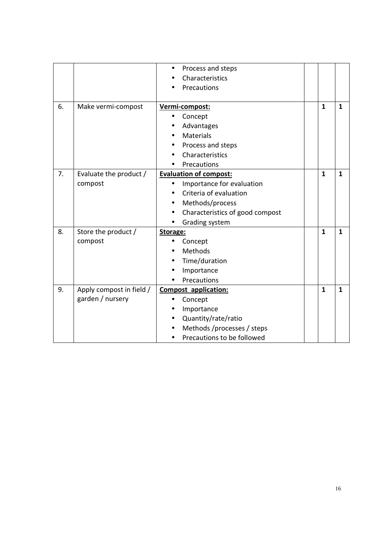|    |                          | Process and steps               |              |              |
|----|--------------------------|---------------------------------|--------------|--------------|
|    |                          | Characteristics                 |              |              |
|    |                          | Precautions                     |              |              |
|    |                          |                                 |              |              |
| 6. | Make vermi-compost       | Vermi-compost:                  | $\mathbf{1}$ | $\mathbf{1}$ |
|    |                          | Concept                         |              |              |
|    |                          | Advantages                      |              |              |
|    |                          | Materials                       |              |              |
|    |                          | Process and steps               |              |              |
|    |                          | Characteristics                 |              |              |
|    |                          | Precautions                     |              |              |
| 7. | Evaluate the product /   | <b>Evaluation of compost:</b>   | $\mathbf{1}$ | $\mathbf{1}$ |
|    | compost                  | Importance for evaluation       |              |              |
|    |                          | Criteria of evaluation          |              |              |
|    |                          | Methods/process                 |              |              |
|    |                          | Characteristics of good compost |              |              |
|    |                          | Grading system                  |              |              |
| 8. | Store the product /      | Storage:                        | $\mathbf{1}$ | $\mathbf{1}$ |
|    | compost                  | Concept                         |              |              |
|    |                          | Methods                         |              |              |
|    |                          | Time/duration                   |              |              |
|    |                          | Importance                      |              |              |
|    |                          | Precautions                     |              |              |
| 9. | Apply compost in field / | <b>Compost application:</b>     | $\mathbf{1}$ | 1            |
|    | garden / nursery         | Concept<br>$\bullet$            |              |              |
|    |                          | Importance                      |              |              |
|    |                          | Quantity/rate/ratio             |              |              |
|    |                          | Methods /processes / steps      |              |              |
|    |                          | Precautions to be followed      |              |              |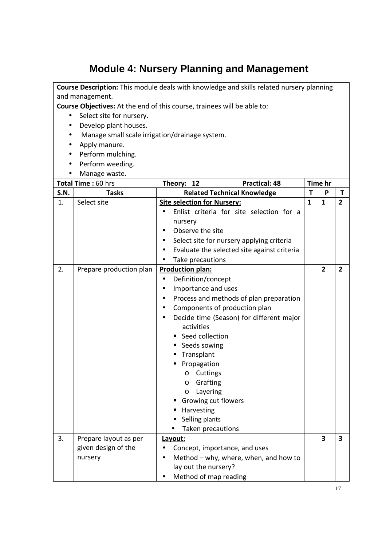### **Module 4: Nursery Planning and Management**

**Course Description:** This module deals with knowledge and skills related nursery planning and management.

- Select site for nursery.
- Develop plant houses.
- Manage small scale irrigation/drainage system.
- Apply manure.
- Perform mulching.
- Perform weeding.
- Manage waste.

|             | Total Time: 60 hrs                                      | <b>Practical: 48</b><br>Theory: 12                                                                                                                                                                                                                                                                                                                                                                                                                                 |              | Time hr        |                |
|-------------|---------------------------------------------------------|--------------------------------------------------------------------------------------------------------------------------------------------------------------------------------------------------------------------------------------------------------------------------------------------------------------------------------------------------------------------------------------------------------------------------------------------------------------------|--------------|----------------|----------------|
| <b>S.N.</b> | <b>Tasks</b>                                            | <b>Related Technical Knowledge</b>                                                                                                                                                                                                                                                                                                                                                                                                                                 | $\mathbf T$  | P              | T              |
| 1.          | Select site                                             | <b>Site selection for Nursery:</b><br>Enlist criteria for site selection for a<br>nursery<br>Observe the site<br>Select site for nursery applying criteria<br>$\bullet$<br>Evaluate the selected site against criteria<br>Take precautions<br>$\bullet$                                                                                                                                                                                                            | $\mathbf{1}$ | $\mathbf{1}$   | $\overline{2}$ |
| 2.          | Prepare production plan                                 | <b>Production plan:</b><br>Definition/concept<br>$\bullet$<br>Importance and uses<br>$\bullet$<br>Process and methods of plan preparation<br>$\bullet$<br>Components of production plan<br>Decide time (Season) for different major<br>activities<br>Seed collection<br>Seeds sowing<br>Transplant<br>Propagation<br>Cuttings<br>$\circ$<br>Grafting<br>$\circ$<br>Layering<br>$\circ$<br>Growing cut flowers<br>Harvesting<br>Selling plants<br>Taken precautions |              | $\overline{2}$ | $\overline{2}$ |
| 3.          | Prepare layout as per<br>given design of the<br>nursery | Layout:<br>Concept, importance, and uses<br>Method - why, where, when, and how to<br>lay out the nursery?<br>Method of map reading<br>$\bullet$                                                                                                                                                                                                                                                                                                                    |              | 3              | 3              |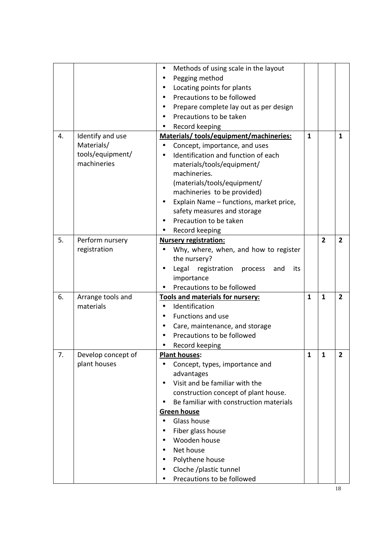|    |                    | Methods of using scale in the layout             |              |                |                |
|----|--------------------|--------------------------------------------------|--------------|----------------|----------------|
|    |                    | Pegging method                                   |              |                |                |
|    |                    | Locating points for plants                       |              |                |                |
|    |                    | Precautions to be followed                       |              |                |                |
|    |                    | Prepare complete lay out as per design           |              |                |                |
|    |                    | Precautions to be taken                          |              |                |                |
|    |                    | Record keeping                                   |              |                |                |
| 4. | Identify and use   | Materials/tools/equipment/machineries:           | 1            |                | 1              |
|    | Materials/         | Concept, importance, and uses                    |              |                |                |
|    | tools/equipment/   | Identification and function of each<br>$\bullet$ |              |                |                |
|    | machineries        | materials/tools/equipment/                       |              |                |                |
|    |                    | machineries.                                     |              |                |                |
|    |                    | (materials/tools/equipment/                      |              |                |                |
|    |                    | machineries to be provided)                      |              |                |                |
|    |                    | Explain Name - functions, market price,          |              |                |                |
|    |                    | safety measures and storage                      |              |                |                |
|    |                    | Precaution to be taken                           |              |                |                |
|    |                    | Record keeping                                   |              |                |                |
| 5. | Perform nursery    | <b>Nursery registration:</b>                     |              | $\overline{2}$ | $\overline{2}$ |
|    | registration       | Why, where, when, and how to register            |              |                |                |
|    |                    | the nursery?                                     |              |                |                |
|    |                    | Legal registration<br>its<br>process<br>and      |              |                |                |
|    |                    | importance                                       |              |                |                |
|    |                    | Precautions to be followed                       |              |                |                |
| 6. | Arrange tools and  | Tools and materials for nursery:                 | $\mathbf{1}$ | $\mathbf{1}$   | $\overline{2}$ |
|    | materials          | Identification                                   |              |                |                |
|    |                    | Functions and use                                |              |                |                |
|    |                    | Care, maintenance, and storage                   |              |                |                |
|    |                    | Precautions to be followed                       |              |                |                |
|    |                    | Record keeping                                   |              |                |                |
| 7. | Develop concept of | <b>Plant houses:</b>                             | $\mathbf{1}$ | $\mathbf{1}$   | 2              |
|    | plant houses       | Concept, types, importance and                   |              |                |                |
|    |                    | advantages                                       |              |                |                |
|    |                    | Visit and be familiar with the                   |              |                |                |
|    |                    | construction concept of plant house.             |              |                |                |
|    |                    | Be familiar with construction materials          |              |                |                |
|    |                    | <b>Green house</b>                               |              |                |                |
|    |                    | Glass house                                      |              |                |                |
|    |                    | Fiber glass house                                |              |                |                |
|    |                    | Wooden house                                     |              |                |                |
|    |                    | Net house                                        |              |                |                |
|    |                    | Polythene house                                  |              |                |                |
|    |                    | Cloche /plastic tunnel                           |              |                |                |
|    |                    | Precautions to be followed                       |              |                |                |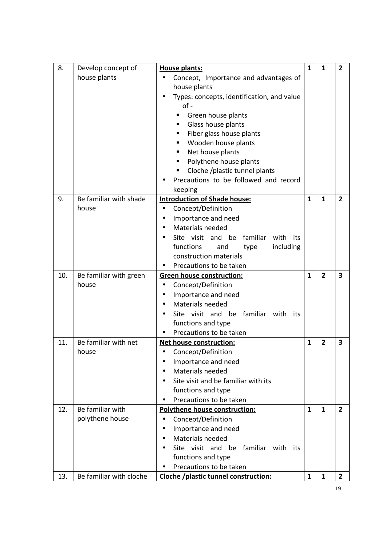| 8.  | Develop concept of      | <b>House plants:</b>                           | $\mathbf{1}$ | $\mathbf{1}$   | $\overline{2}$ |
|-----|-------------------------|------------------------------------------------|--------------|----------------|----------------|
|     | house plants            | Concept, Importance and advantages of          |              |                |                |
|     |                         | house plants                                   |              |                |                |
|     |                         | Types: concepts, identification, and value     |              |                |                |
|     |                         | $of -$                                         |              |                |                |
|     |                         | Green house plants<br>П                        |              |                |                |
|     |                         | Glass house plants<br>٠                        |              |                |                |
|     |                         | Fiber glass house plants<br>٠                  |              |                |                |
|     |                         | Wooden house plants<br>٠                       |              |                |                |
|     |                         | Net house plants<br>٠                          |              |                |                |
|     |                         | Polythene house plants                         |              |                |                |
|     |                         | Cloche /plastic tunnel plants<br>Е             |              |                |                |
|     |                         | Precautions to be followed and record          |              |                |                |
| 9.  | Be familiar with shade  | keeping<br><b>Introduction of Shade house:</b> | $\mathbf{1}$ | $\mathbf{1}$   | $\overline{2}$ |
|     | house                   | Concept/Definition<br>$\bullet$                |              |                |                |
|     |                         | Importance and need                            |              |                |                |
|     |                         | Materials needed                               |              |                |                |
|     |                         | Site visit and be<br>familiar<br>with<br>its   |              |                |                |
|     |                         | functions<br>including<br>and<br>type          |              |                |                |
|     |                         | construction materials                         |              |                |                |
|     |                         | Precautions to be taken                        |              |                |                |
| 10. | Be familiar with green  | <b>Green house construction:</b>               | $\mathbf{1}$ | $\overline{2}$ | 3              |
|     | house                   | Concept/Definition                             |              |                |                |
|     |                         | Importance and need<br>٠                       |              |                |                |
|     |                         | Materials needed                               |              |                |                |
|     |                         | Site visit and be familiar with<br>its         |              |                |                |
|     |                         | functions and type                             |              |                |                |
|     |                         | Precautions to be taken                        |              |                |                |
| 11. | Be familiar with net    | Net house construction:                        | $\mathbf{1}$ | $\overline{2}$ | 3              |
|     | house                   | • Concept/Definition                           |              |                |                |
|     |                         | Importance and need                            |              |                |                |
|     |                         | <b>Materials needed</b>                        |              |                |                |
|     |                         | Site visit and be familiar with its            |              |                |                |
|     |                         | functions and type                             |              |                |                |
|     |                         | Precautions to be taken                        |              |                |                |
| 12. | Be familiar with        | <b>Polythene house construction:</b>           | $\mathbf{1}$ | $\mathbf{1}$   | $\overline{2}$ |
|     | polythene house         | Concept/Definition<br>$\bullet$                |              |                |                |
|     |                         | Importance and need                            |              |                |                |
|     |                         | Materials needed<br>$\bullet$                  |              |                |                |
|     |                         | Site visit and be familiar with<br>its         |              |                |                |
|     |                         | functions and type                             |              |                |                |
|     |                         | Precautions to be taken                        |              |                |                |
| 13. | Be familiar with cloche | Cloche /plastic tunnel construction:           | $\mathbf{1}$ | 1              | 2              |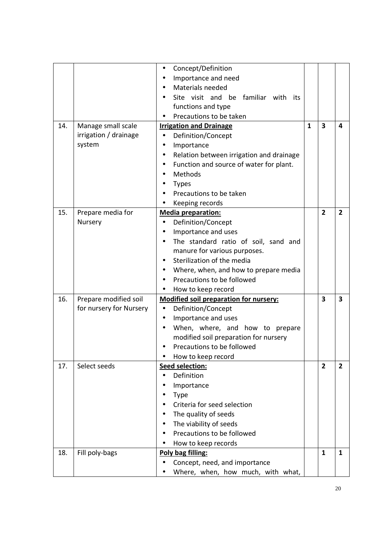|     |                         | Concept/Definition<br>$\bullet$                       |              |                         |                |
|-----|-------------------------|-------------------------------------------------------|--------------|-------------------------|----------------|
|     |                         | Importance and need                                   |              |                         |                |
|     |                         | Materials needed                                      |              |                         |                |
|     |                         | Site visit and be familiar with its                   |              |                         |                |
|     |                         | functions and type                                    |              |                         |                |
|     |                         | Precautions to be taken                               |              |                         |                |
| 14. | Manage small scale      | <b>Irrigation and Drainage</b>                        | $\mathbf{1}$ | $\overline{\mathbf{3}}$ | 4              |
|     | irrigation / drainage   | Definition/Concept<br>$\bullet$                       |              |                         |                |
|     | system                  | Importance<br>$\bullet$                               |              |                         |                |
|     |                         | Relation between irrigation and drainage<br>$\bullet$ |              |                         |                |
|     |                         | Function and source of water for plant.<br>٠          |              |                         |                |
|     |                         | Methods                                               |              |                         |                |
|     |                         | <b>Types</b>                                          |              |                         |                |
|     |                         | Precautions to be taken                               |              |                         |                |
|     |                         | Keeping records                                       |              |                         |                |
| 15. | Prepare media for       | <b>Media preparation:</b>                             |              | $\overline{2}$          | $\overline{2}$ |
|     | Nursery                 | Definition/Concept                                    |              |                         |                |
|     |                         | Importance and uses<br>$\bullet$                      |              |                         |                |
|     |                         | The standard ratio of soil, sand and                  |              |                         |                |
|     |                         | manure for various purposes.                          |              |                         |                |
|     |                         | Sterilization of the media                            |              |                         |                |
|     |                         | Where, when, and how to prepare media                 |              |                         |                |
|     |                         | Precautions to be followed                            |              |                         |                |
|     |                         | How to keep record                                    |              |                         |                |
| 16. | Prepare modified soil   | <b>Modified soil preparation for nursery:</b>         |              | $\overline{\mathbf{3}}$ | 3              |
|     | for nursery for Nursery | Definition/Concept<br>$\bullet$                       |              |                         |                |
|     |                         | Importance and uses<br>$\bullet$                      |              |                         |                |
|     |                         | When, where, and how to prepare                       |              |                         |                |
|     |                         | modified soil preparation for nursery                 |              |                         |                |
|     |                         | Precautions to be followed                            |              |                         |                |
|     |                         | How to keep record                                    |              |                         |                |
| 17. | Select seeds            | Seed selection:                                       |              | $\overline{2}$          | $\overline{2}$ |
|     |                         | Definition                                            |              |                         |                |
|     |                         | Importance                                            |              |                         |                |
|     |                         | <b>Type</b>                                           |              |                         |                |
|     |                         | Criteria for seed selection                           |              |                         |                |
|     |                         | The quality of seeds                                  |              |                         |                |
|     |                         | The viability of seeds                                |              |                         |                |
|     |                         | Precautions to be followed                            |              |                         |                |
|     |                         | How to keep records                                   |              |                         |                |
| 18. | Fill poly-bags          | Poly bag filling:                                     |              | $\mathbf{1}$            | 1              |
|     |                         | Concept, need, and importance                         |              |                         |                |
|     |                         | Where, when, how much, with what,                     |              |                         |                |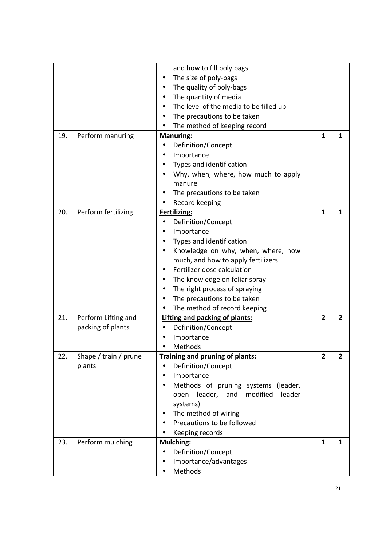|     |                       | and how to fill poly bags                    |                |                |
|-----|-----------------------|----------------------------------------------|----------------|----------------|
|     |                       | The size of poly-bags                        |                |                |
|     |                       | The quality of poly-bags                     |                |                |
|     |                       | The quantity of media                        |                |                |
|     |                       | The level of the media to be filled up       |                |                |
|     |                       | The precautions to be taken                  |                |                |
|     |                       | The method of keeping record                 |                |                |
| 19. | Perform manuring      | <b>Manuring:</b>                             | $\mathbf{1}$   | $\mathbf{1}$   |
|     |                       | Definition/Concept                           |                |                |
|     |                       | Importance                                   |                |                |
|     |                       | Types and identification                     |                |                |
|     |                       | Why, when, where, how much to apply          |                |                |
|     |                       | manure                                       |                |                |
|     |                       | The precautions to be taken                  |                |                |
|     |                       | Record keeping                               |                |                |
| 20. | Perform fertilizing   | Fertilizing:                                 | $\mathbf{1}$   | 1              |
|     |                       | Definition/Concept                           |                |                |
|     |                       | Importance                                   |                |                |
|     |                       | Types and identification                     |                |                |
|     |                       | Knowledge on why, when, where, how           |                |                |
|     |                       | much, and how to apply fertilizers           |                |                |
|     |                       | Fertilizer dose calculation                  |                |                |
|     |                       | The knowledge on foliar spray                |                |                |
|     |                       | The right process of spraying                |                |                |
|     |                       | The precautions to be taken                  |                |                |
|     |                       | The method of record keeping                 |                |                |
| 21. | Perform Lifting and   | Lifting and packing of plants:               | $\overline{2}$ | $\overline{2}$ |
|     | packing of plants     | Definition/Concept                           |                |                |
|     |                       | Importance                                   |                |                |
|     |                       | Methods                                      |                |                |
| 22. | Shape / train / prune | Training and pruning of plants:              | 2              | 2              |
|     | plants                | Definition/Concept                           |                |                |
|     |                       | Importance                                   |                |                |
|     |                       | Methods of pruning systems (leader,          |                |                |
|     |                       | modified<br>leader<br>leader,<br>open<br>and |                |                |
|     |                       | systems)                                     |                |                |
|     |                       | The method of wiring                         |                |                |
|     |                       | Precautions to be followed                   |                |                |
|     |                       | Keeping records                              |                |                |
| 23. | Perform mulching      | <b>Mulching:</b>                             | $\mathbf{1}$   | $\mathbf{1}$   |
|     |                       | Definition/Concept                           |                |                |
|     |                       | Importance/advantages                        |                |                |
|     |                       | Methods                                      |                |                |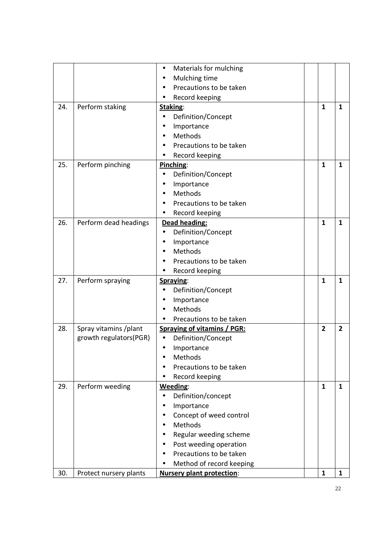|     |                        | Materials for mulching<br>$\bullet$ |                |                |
|-----|------------------------|-------------------------------------|----------------|----------------|
|     |                        | Mulching time                       |                |                |
|     |                        | Precautions to be taken             |                |                |
|     |                        | Record keeping                      |                |                |
| 24. | Perform staking        | Staking:                            | $\mathbf{1}$   | 1              |
|     |                        | Definition/Concept<br>$\bullet$     |                |                |
|     |                        | Importance                          |                |                |
|     |                        | Methods                             |                |                |
|     |                        | Precautions to be taken             |                |                |
|     |                        | Record keeping                      |                |                |
| 25. | Perform pinching       | Pinching:                           | $\mathbf{1}$   | $\mathbf{1}$   |
|     |                        | Definition/Concept<br>$\bullet$     |                |                |
|     |                        | Importance                          |                |                |
|     |                        | Methods<br>$\bullet$                |                |                |
|     |                        | Precautions to be taken             |                |                |
|     |                        | Record keeping<br>٠                 |                |                |
| 26. | Perform dead headings  | Dead heading:                       | $\mathbf{1}$   | $\mathbf{1}$   |
|     |                        | Definition/Concept<br>$\bullet$     |                |                |
|     |                        | Importance                          |                |                |
|     |                        | Methods                             |                |                |
|     |                        | Precautions to be taken             |                |                |
|     |                        | Record keeping                      |                |                |
| 27. | Perform spraying       | Spraying:                           | $\mathbf{1}$   | $\mathbf{1}$   |
|     |                        | Definition/Concept                  |                |                |
|     |                        | Importance                          |                |                |
|     |                        | Methods                             |                |                |
|     |                        | Precautions to be taken             |                |                |
| 28. | Spray vitamins /plant  | <b>Spraying of vitamins / PGR:</b>  | $\overline{2}$ | $\overline{2}$ |
|     | growth regulators(PGR) | Definition/Concept<br>$\bullet$     |                |                |
|     |                        | Importance                          |                |                |
|     |                        | Methods                             |                |                |
|     |                        | Precautions to be taken             |                |                |
|     |                        | Record keeping                      |                |                |
| 29. | Perform weeding        | Weeding:                            | $\mathbf{1}$   | $\mathbf{1}$   |
|     |                        | Definition/concept<br>$\bullet$     |                |                |
|     |                        | Importance                          |                |                |
|     |                        | Concept of weed control             |                |                |
|     |                        | Methods                             |                |                |
|     |                        | Regular weeding scheme              |                |                |
|     |                        | Post weeding operation              |                |                |
|     |                        | Precautions to be taken             |                |                |
|     |                        | Method of record keeping            |                |                |
| 30. | Protect nursery plants | <b>Nursery plant protection:</b>    | $\mathbf{1}$   | $\mathbf{1}$   |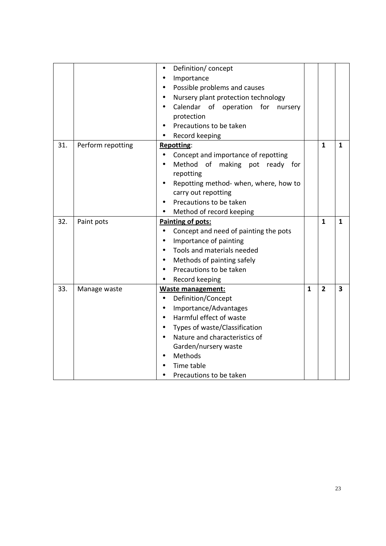|     |                   | Definition/concept<br>$\bullet$                    |              |                |              |
|-----|-------------------|----------------------------------------------------|--------------|----------------|--------------|
|     |                   | Importance<br>$\bullet$                            |              |                |              |
|     |                   | Possible problems and causes                       |              |                |              |
|     |                   | Nursery plant protection technology                |              |                |              |
|     |                   | Calendar of operation<br>for<br>nursery            |              |                |              |
|     |                   | protection                                         |              |                |              |
|     |                   | Precautions to be taken                            |              |                |              |
|     |                   | Record keeping                                     |              |                |              |
| 31. | Perform repotting | <b>Repotting:</b>                                  |              | 1              | $\mathbf{1}$ |
|     |                   | Concept and importance of repotting<br>$\bullet$   |              |                |              |
|     |                   | Method of making pot ready for                     |              |                |              |
|     |                   | repotting                                          |              |                |              |
|     |                   | Repotting method- when, where, how to              |              |                |              |
|     |                   | carry out repotting                                |              |                |              |
|     |                   | Precautions to be taken                            |              |                |              |
|     |                   | Method of record keeping                           |              |                |              |
| 32. | Paint pots        | Painting of pots:                                  |              | 1              | 1            |
|     |                   | Concept and need of painting the pots<br>$\bullet$ |              |                |              |
|     |                   | Importance of painting<br>$\bullet$                |              |                |              |
|     |                   | Tools and materials needed<br>$\bullet$            |              |                |              |
|     |                   | Methods of painting safely<br>$\bullet$            |              |                |              |
|     |                   | Precautions to be taken                            |              |                |              |
|     |                   | Record keeping                                     |              |                |              |
| 33. | Manage waste      | <b>Waste management:</b>                           | $\mathbf{1}$ | $\overline{2}$ | 3            |
|     |                   | Definition/Concept<br>$\bullet$                    |              |                |              |
|     |                   | Importance/Advantages                              |              |                |              |
|     |                   | Harmful effect of waste<br>$\bullet$               |              |                |              |
|     |                   | Types of waste/Classification<br>$\bullet$         |              |                |              |
|     |                   | Nature and characteristics of                      |              |                |              |
|     |                   | Garden/nursery waste                               |              |                |              |
|     |                   | Methods                                            |              |                |              |
|     |                   | Time table                                         |              |                |              |
|     |                   | Precautions to be taken                            |              |                |              |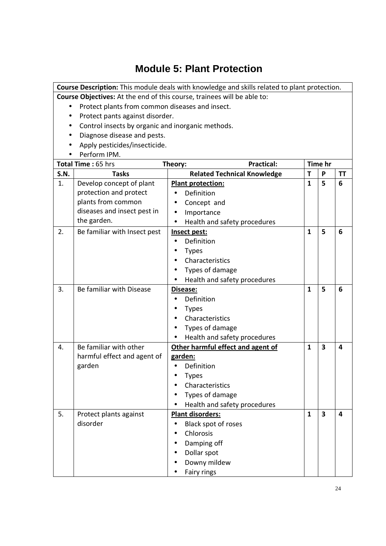### **Module 5: Plant Protection**

**Course Description:** This module deals with knowledge and skills related to plant protection.

- Protect plants from common diseases and insect.
- Protect pants against disorder.
- Control insects by organic and inorganic methods.
- Diagnose disease and pests.
- Apply pesticides/insecticide.
- Perform IPM.

| Total Time: 65 hrs |                              | <b>Practical:</b><br>Theory:              |              | Time hr                 |                         |
|--------------------|------------------------------|-------------------------------------------|--------------|-------------------------|-------------------------|
| <b>S.N.</b>        | <b>Tasks</b>                 | <b>Related Technical Knowledge</b>        | т            | P                       | <b>TT</b>               |
| 1.                 | Develop concept of plant     | <b>Plant protection:</b>                  | $\mathbf{1}$ | 5                       | 6                       |
|                    | protection and protect       | Definition<br>$\bullet$                   |              |                         |                         |
|                    | plants from common           | Concept and<br>$\bullet$                  |              |                         |                         |
|                    | diseases and insect pest in  | Importance<br>$\bullet$                   |              |                         |                         |
|                    | the garden.                  | Health and safety procedures<br>$\bullet$ |              |                         |                         |
| 2.                 | Be familiar with Insect pest | Insect pest:                              | $\mathbf{1}$ | 5                       | 6                       |
|                    |                              | Definition<br>$\bullet$                   |              |                         |                         |
|                    |                              | <b>Types</b>                              |              |                         |                         |
|                    |                              | Characteristics<br>$\bullet$              |              |                         |                         |
|                    |                              | Types of damage                           |              |                         |                         |
|                    |                              | Health and safety procedures              |              |                         |                         |
| 3.                 | Be familiar with Disease     | Disease:                                  | $\mathbf{1}$ | 5                       | 6                       |
|                    |                              | Definition                                |              |                         |                         |
|                    |                              | <b>Types</b>                              |              |                         |                         |
|                    |                              | Characteristics                           |              |                         |                         |
|                    |                              | Types of damage                           |              |                         |                         |
|                    |                              | Health and safety procedures              |              |                         |                         |
| 4.                 | Be familiar with other       | Other harmful effect and agent of         | $\mathbf{1}$ | 3                       | 4                       |
|                    | harmful effect and agent of  | garden:                                   |              |                         |                         |
|                    | garden                       | Definition<br>$\bullet$                   |              |                         |                         |
|                    |                              | <b>Types</b><br>$\bullet$                 |              |                         |                         |
|                    |                              | Characteristics                           |              |                         |                         |
|                    |                              | Types of damage                           |              |                         |                         |
|                    |                              | Health and safety procedures              |              |                         |                         |
| 5.                 | Protect plants against       | <b>Plant disorders:</b>                   | $\mathbf{1}$ | $\overline{\mathbf{3}}$ | $\overline{\mathbf{4}}$ |
|                    | disorder                     | Black spot of roses<br>$\bullet$          |              |                         |                         |
|                    |                              | Chlorosis<br>$\bullet$                    |              |                         |                         |
|                    |                              | Damping off                               |              |                         |                         |
|                    |                              | Dollar spot                               |              |                         |                         |
|                    |                              | Downy mildew                              |              |                         |                         |
|                    |                              | Fairy rings                               |              |                         |                         |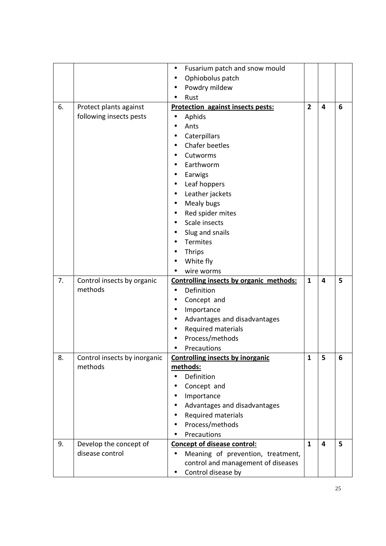|    |                                           | Fusarium patch and snow mould<br>$\bullet$                                           |                |                         |   |
|----|-------------------------------------------|--------------------------------------------------------------------------------------|----------------|-------------------------|---|
|    |                                           | Ophiobolus patch<br>$\bullet$                                                        |                |                         |   |
|    |                                           | Powdry mildew<br>$\bullet$                                                           |                |                         |   |
|    |                                           | Rust                                                                                 |                |                         |   |
| 6. | Protect plants against                    | <b>Protection against insects pests:</b>                                             | $\overline{2}$ | $\overline{\mathbf{4}}$ | 6 |
|    | following insects pests                   | Aphids                                                                               |                |                         |   |
|    |                                           | Ants                                                                                 |                |                         |   |
|    |                                           | Caterpillars                                                                         |                |                         |   |
|    |                                           | Chafer beetles                                                                       |                |                         |   |
|    |                                           | Cutworms                                                                             |                |                         |   |
|    |                                           | Earthworm<br>$\bullet$                                                               |                |                         |   |
|    |                                           | Earwigs<br>$\bullet$                                                                 |                |                         |   |
|    |                                           | Leaf hoppers<br>$\bullet$                                                            |                |                         |   |
|    |                                           | Leather jackets<br>$\bullet$                                                         |                |                         |   |
|    |                                           | Mealy bugs<br>$\bullet$                                                              |                |                         |   |
|    |                                           | Red spider mites                                                                     |                |                         |   |
|    |                                           | Scale insects                                                                        |                |                         |   |
|    |                                           | Slug and snails                                                                      |                |                         |   |
|    |                                           | <b>Termites</b>                                                                      |                |                         |   |
|    |                                           | <b>Thrips</b>                                                                        |                |                         |   |
|    |                                           | White fly                                                                            |                |                         |   |
|    |                                           | wire worms                                                                           |                |                         |   |
| 7. | Control insects by organic                | Controlling insects by organic methods:                                              | $\mathbf{1}$   | $\overline{\mathbf{4}}$ | 5 |
|    | methods                                   | Definition<br>$\bullet$                                                              |                |                         |   |
|    |                                           | Concept and                                                                          |                |                         |   |
|    |                                           | Importance<br>$\bullet$                                                              |                |                         |   |
|    |                                           | Advantages and disadvantages<br>$\bullet$                                            |                |                         |   |
|    |                                           | Required materials<br>$\bullet$                                                      |                |                         |   |
|    |                                           | Process/methods                                                                      |                |                         |   |
|    |                                           | Precautions                                                                          |                |                         |   |
| 8. | Control insects by inorganic              | <b>Controlling insects by inorganic</b>                                              | $\mathbf{1}$   | 5                       | 6 |
|    | methods                                   | methods:                                                                             |                |                         |   |
|    |                                           | Definition<br>$\bullet$                                                              |                |                         |   |
|    |                                           | Concept and<br>٠                                                                     |                |                         |   |
|    |                                           | Importance                                                                           |                |                         |   |
|    |                                           | Advantages and disadvantages                                                         |                |                         |   |
|    |                                           | Required materials                                                                   |                |                         |   |
|    |                                           | Process/methods                                                                      |                |                         |   |
|    |                                           | Precautions                                                                          |                |                         |   |
| 9. | Develop the concept of<br>disease control | <b>Concept of disease control:</b>                                                   | $\mathbf{1}$   | $\overline{\mathbf{4}}$ | 5 |
|    |                                           | Meaning of prevention, treatment,<br>$\bullet$<br>control and management of diseases |                |                         |   |
|    |                                           | Control disease by                                                                   |                |                         |   |
|    |                                           |                                                                                      |                |                         |   |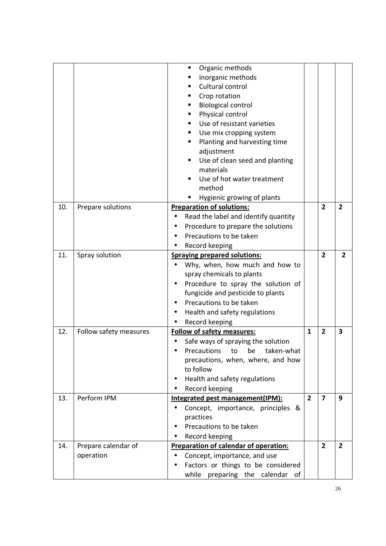| Organic methods<br>٠<br>Inorganic methods<br>Cultural control<br>Crop rotation<br><b>Biological control</b><br>Physical control<br>Use of resistant varieties<br>Use mix cropping system<br>Planting and harvesting time<br>adjustment<br>Use of clean seed and planting<br>materials<br>Use of hot water treatment<br>method<br>Hygienic growing of plants<br><b>Preparation of solutions:</b><br>10.<br>Prepare solutions<br>$\overline{2}$<br>$\mathbf{2}$<br>Read the label and identify quantity<br>Procedure to prepare the solutions<br>Precautions to be taken<br>Record keeping<br>11.<br>Spray solution<br>$\overline{2}$<br><b>Spraying prepared solutions:</b><br>$\overline{2}$<br>Why, when, how much and how to<br>spray chemicals to plants<br>Procedure to spray the solution of<br>fungicide and pesticide to plants<br>Precautions to be taken<br>Health and safety regulations<br>Record keeping<br><b>Follow of safety measures:</b><br>12.<br>Follow safety measures<br>$\mathbf{1}$<br>$\overline{2}$<br>3<br>Safe ways of spraying the solution<br>Precautions to be taken-what<br>precautions, when, where, and how<br>to follow<br>Health and safety regulations<br>$\bullet$<br>Record keeping<br>$\overline{2}$<br>$\overline{7}$<br>Perform IPM<br>Integrated pest management(IPM):<br>9<br>13.<br>Concept, importance, principles &<br>practices<br>Precautions to be taken<br>Record keeping<br>Prepare calendar of<br>$\overline{2}$<br>$\overline{2}$<br>Preparation of calendar of operation:<br>14. |
|----------------------------------------------------------------------------------------------------------------------------------------------------------------------------------------------------------------------------------------------------------------------------------------------------------------------------------------------------------------------------------------------------------------------------------------------------------------------------------------------------------------------------------------------------------------------------------------------------------------------------------------------------------------------------------------------------------------------------------------------------------------------------------------------------------------------------------------------------------------------------------------------------------------------------------------------------------------------------------------------------------------------------------------------------------------------------------------------------------------------------------------------------------------------------------------------------------------------------------------------------------------------------------------------------------------------------------------------------------------------------------------------------------------------------------------------------------------------------------------------------------------------------------------|
|                                                                                                                                                                                                                                                                                                                                                                                                                                                                                                                                                                                                                                                                                                                                                                                                                                                                                                                                                                                                                                                                                                                                                                                                                                                                                                                                                                                                                                                                                                                                        |
|                                                                                                                                                                                                                                                                                                                                                                                                                                                                                                                                                                                                                                                                                                                                                                                                                                                                                                                                                                                                                                                                                                                                                                                                                                                                                                                                                                                                                                                                                                                                        |
|                                                                                                                                                                                                                                                                                                                                                                                                                                                                                                                                                                                                                                                                                                                                                                                                                                                                                                                                                                                                                                                                                                                                                                                                                                                                                                                                                                                                                                                                                                                                        |
|                                                                                                                                                                                                                                                                                                                                                                                                                                                                                                                                                                                                                                                                                                                                                                                                                                                                                                                                                                                                                                                                                                                                                                                                                                                                                                                                                                                                                                                                                                                                        |
|                                                                                                                                                                                                                                                                                                                                                                                                                                                                                                                                                                                                                                                                                                                                                                                                                                                                                                                                                                                                                                                                                                                                                                                                                                                                                                                                                                                                                                                                                                                                        |
|                                                                                                                                                                                                                                                                                                                                                                                                                                                                                                                                                                                                                                                                                                                                                                                                                                                                                                                                                                                                                                                                                                                                                                                                                                                                                                                                                                                                                                                                                                                                        |
|                                                                                                                                                                                                                                                                                                                                                                                                                                                                                                                                                                                                                                                                                                                                                                                                                                                                                                                                                                                                                                                                                                                                                                                                                                                                                                                                                                                                                                                                                                                                        |
|                                                                                                                                                                                                                                                                                                                                                                                                                                                                                                                                                                                                                                                                                                                                                                                                                                                                                                                                                                                                                                                                                                                                                                                                                                                                                                                                                                                                                                                                                                                                        |
|                                                                                                                                                                                                                                                                                                                                                                                                                                                                                                                                                                                                                                                                                                                                                                                                                                                                                                                                                                                                                                                                                                                                                                                                                                                                                                                                                                                                                                                                                                                                        |
|                                                                                                                                                                                                                                                                                                                                                                                                                                                                                                                                                                                                                                                                                                                                                                                                                                                                                                                                                                                                                                                                                                                                                                                                                                                                                                                                                                                                                                                                                                                                        |
|                                                                                                                                                                                                                                                                                                                                                                                                                                                                                                                                                                                                                                                                                                                                                                                                                                                                                                                                                                                                                                                                                                                                                                                                                                                                                                                                                                                                                                                                                                                                        |
|                                                                                                                                                                                                                                                                                                                                                                                                                                                                                                                                                                                                                                                                                                                                                                                                                                                                                                                                                                                                                                                                                                                                                                                                                                                                                                                                                                                                                                                                                                                                        |
|                                                                                                                                                                                                                                                                                                                                                                                                                                                                                                                                                                                                                                                                                                                                                                                                                                                                                                                                                                                                                                                                                                                                                                                                                                                                                                                                                                                                                                                                                                                                        |
|                                                                                                                                                                                                                                                                                                                                                                                                                                                                                                                                                                                                                                                                                                                                                                                                                                                                                                                                                                                                                                                                                                                                                                                                                                                                                                                                                                                                                                                                                                                                        |
|                                                                                                                                                                                                                                                                                                                                                                                                                                                                                                                                                                                                                                                                                                                                                                                                                                                                                                                                                                                                                                                                                                                                                                                                                                                                                                                                                                                                                                                                                                                                        |
|                                                                                                                                                                                                                                                                                                                                                                                                                                                                                                                                                                                                                                                                                                                                                                                                                                                                                                                                                                                                                                                                                                                                                                                                                                                                                                                                                                                                                                                                                                                                        |
|                                                                                                                                                                                                                                                                                                                                                                                                                                                                                                                                                                                                                                                                                                                                                                                                                                                                                                                                                                                                                                                                                                                                                                                                                                                                                                                                                                                                                                                                                                                                        |
|                                                                                                                                                                                                                                                                                                                                                                                                                                                                                                                                                                                                                                                                                                                                                                                                                                                                                                                                                                                                                                                                                                                                                                                                                                                                                                                                                                                                                                                                                                                                        |
|                                                                                                                                                                                                                                                                                                                                                                                                                                                                                                                                                                                                                                                                                                                                                                                                                                                                                                                                                                                                                                                                                                                                                                                                                                                                                                                                                                                                                                                                                                                                        |
|                                                                                                                                                                                                                                                                                                                                                                                                                                                                                                                                                                                                                                                                                                                                                                                                                                                                                                                                                                                                                                                                                                                                                                                                                                                                                                                                                                                                                                                                                                                                        |
|                                                                                                                                                                                                                                                                                                                                                                                                                                                                                                                                                                                                                                                                                                                                                                                                                                                                                                                                                                                                                                                                                                                                                                                                                                                                                                                                                                                                                                                                                                                                        |
|                                                                                                                                                                                                                                                                                                                                                                                                                                                                                                                                                                                                                                                                                                                                                                                                                                                                                                                                                                                                                                                                                                                                                                                                                                                                                                                                                                                                                                                                                                                                        |
|                                                                                                                                                                                                                                                                                                                                                                                                                                                                                                                                                                                                                                                                                                                                                                                                                                                                                                                                                                                                                                                                                                                                                                                                                                                                                                                                                                                                                                                                                                                                        |
|                                                                                                                                                                                                                                                                                                                                                                                                                                                                                                                                                                                                                                                                                                                                                                                                                                                                                                                                                                                                                                                                                                                                                                                                                                                                                                                                                                                                                                                                                                                                        |
|                                                                                                                                                                                                                                                                                                                                                                                                                                                                                                                                                                                                                                                                                                                                                                                                                                                                                                                                                                                                                                                                                                                                                                                                                                                                                                                                                                                                                                                                                                                                        |
|                                                                                                                                                                                                                                                                                                                                                                                                                                                                                                                                                                                                                                                                                                                                                                                                                                                                                                                                                                                                                                                                                                                                                                                                                                                                                                                                                                                                                                                                                                                                        |
|                                                                                                                                                                                                                                                                                                                                                                                                                                                                                                                                                                                                                                                                                                                                                                                                                                                                                                                                                                                                                                                                                                                                                                                                                                                                                                                                                                                                                                                                                                                                        |
|                                                                                                                                                                                                                                                                                                                                                                                                                                                                                                                                                                                                                                                                                                                                                                                                                                                                                                                                                                                                                                                                                                                                                                                                                                                                                                                                                                                                                                                                                                                                        |
|                                                                                                                                                                                                                                                                                                                                                                                                                                                                                                                                                                                                                                                                                                                                                                                                                                                                                                                                                                                                                                                                                                                                                                                                                                                                                                                                                                                                                                                                                                                                        |
|                                                                                                                                                                                                                                                                                                                                                                                                                                                                                                                                                                                                                                                                                                                                                                                                                                                                                                                                                                                                                                                                                                                                                                                                                                                                                                                                                                                                                                                                                                                                        |
|                                                                                                                                                                                                                                                                                                                                                                                                                                                                                                                                                                                                                                                                                                                                                                                                                                                                                                                                                                                                                                                                                                                                                                                                                                                                                                                                                                                                                                                                                                                                        |
|                                                                                                                                                                                                                                                                                                                                                                                                                                                                                                                                                                                                                                                                                                                                                                                                                                                                                                                                                                                                                                                                                                                                                                                                                                                                                                                                                                                                                                                                                                                                        |
|                                                                                                                                                                                                                                                                                                                                                                                                                                                                                                                                                                                                                                                                                                                                                                                                                                                                                                                                                                                                                                                                                                                                                                                                                                                                                                                                                                                                                                                                                                                                        |
|                                                                                                                                                                                                                                                                                                                                                                                                                                                                                                                                                                                                                                                                                                                                                                                                                                                                                                                                                                                                                                                                                                                                                                                                                                                                                                                                                                                                                                                                                                                                        |
|                                                                                                                                                                                                                                                                                                                                                                                                                                                                                                                                                                                                                                                                                                                                                                                                                                                                                                                                                                                                                                                                                                                                                                                                                                                                                                                                                                                                                                                                                                                                        |
|                                                                                                                                                                                                                                                                                                                                                                                                                                                                                                                                                                                                                                                                                                                                                                                                                                                                                                                                                                                                                                                                                                                                                                                                                                                                                                                                                                                                                                                                                                                                        |
|                                                                                                                                                                                                                                                                                                                                                                                                                                                                                                                                                                                                                                                                                                                                                                                                                                                                                                                                                                                                                                                                                                                                                                                                                                                                                                                                                                                                                                                                                                                                        |
|                                                                                                                                                                                                                                                                                                                                                                                                                                                                                                                                                                                                                                                                                                                                                                                                                                                                                                                                                                                                                                                                                                                                                                                                                                                                                                                                                                                                                                                                                                                                        |
|                                                                                                                                                                                                                                                                                                                                                                                                                                                                                                                                                                                                                                                                                                                                                                                                                                                                                                                                                                                                                                                                                                                                                                                                                                                                                                                                                                                                                                                                                                                                        |
|                                                                                                                                                                                                                                                                                                                                                                                                                                                                                                                                                                                                                                                                                                                                                                                                                                                                                                                                                                                                                                                                                                                                                                                                                                                                                                                                                                                                                                                                                                                                        |
|                                                                                                                                                                                                                                                                                                                                                                                                                                                                                                                                                                                                                                                                                                                                                                                                                                                                                                                                                                                                                                                                                                                                                                                                                                                                                                                                                                                                                                                                                                                                        |
| operation<br>Concept, importance, and use                                                                                                                                                                                                                                                                                                                                                                                                                                                                                                                                                                                                                                                                                                                                                                                                                                                                                                                                                                                                                                                                                                                                                                                                                                                                                                                                                                                                                                                                                              |
| Factors or things to be considered                                                                                                                                                                                                                                                                                                                                                                                                                                                                                                                                                                                                                                                                                                                                                                                                                                                                                                                                                                                                                                                                                                                                                                                                                                                                                                                                                                                                                                                                                                     |
| while preparing the calendar of                                                                                                                                                                                                                                                                                                                                                                                                                                                                                                                                                                                                                                                                                                                                                                                                                                                                                                                                                                                                                                                                                                                                                                                                                                                                                                                                                                                                                                                                                                        |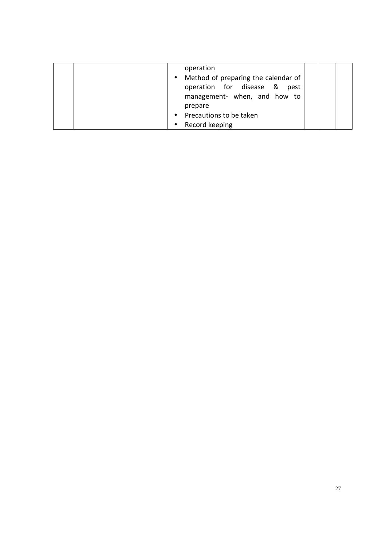| operation<br>Method of preparing the calendar of<br>$\bullet$<br>operation for disease &<br>pest<br>management- when, and how to<br>prepare<br>Precautions to be taken<br>$\bullet$ |  |
|-------------------------------------------------------------------------------------------------------------------------------------------------------------------------------------|--|
| Record keeping                                                                                                                                                                      |  |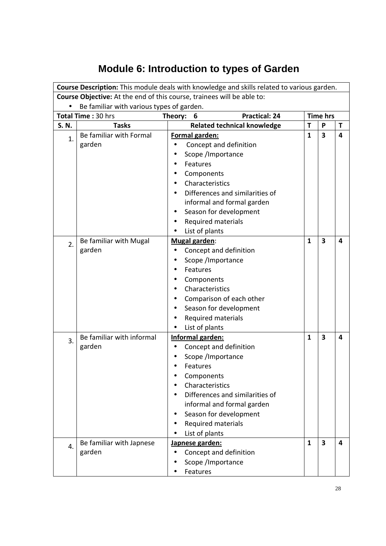# **Module 6: Introduction to types of Garden**

|                                                                        |                                           | Course Description: This module deals with knowledge and skills related to various garden. |              |                 |   |  |  |  |
|------------------------------------------------------------------------|-------------------------------------------|--------------------------------------------------------------------------------------------|--------------|-----------------|---|--|--|--|
| Course Objective: At the end of this course, trainees will be able to: |                                           |                                                                                            |              |                 |   |  |  |  |
|                                                                        | Be familiar with various types of garden. |                                                                                            |              |                 |   |  |  |  |
|                                                                        | Total Time: 30 hrs                        | <b>Practical: 24</b><br>6<br>Theory:                                                       |              | <b>Time hrs</b> |   |  |  |  |
| S. N.                                                                  | <b>Tasks</b>                              | <b>Related technical knowledge</b>                                                         | T            | P               | Т |  |  |  |
| 1.                                                                     | Be familiar with Formal                   | Formal garden:                                                                             | $\mathbf{1}$ | 3               | 4 |  |  |  |
|                                                                        | garden                                    | Concept and definition                                                                     |              |                 |   |  |  |  |
|                                                                        |                                           | Scope /Importance                                                                          |              |                 |   |  |  |  |
|                                                                        |                                           | Features                                                                                   |              |                 |   |  |  |  |
|                                                                        |                                           | Components                                                                                 |              |                 |   |  |  |  |
|                                                                        |                                           | Characteristics                                                                            |              |                 |   |  |  |  |
|                                                                        |                                           | Differences and similarities of                                                            |              |                 |   |  |  |  |
|                                                                        |                                           | informal and formal garden                                                                 |              |                 |   |  |  |  |
|                                                                        |                                           | Season for development                                                                     |              |                 |   |  |  |  |
|                                                                        |                                           | Required materials                                                                         |              |                 |   |  |  |  |
|                                                                        |                                           | List of plants                                                                             |              |                 |   |  |  |  |
| 2.                                                                     | Be familiar with Mugal                    | Mugal garden:                                                                              | $\mathbf{1}$ | 3               | 4 |  |  |  |
|                                                                        | garden                                    | Concept and definition                                                                     |              |                 |   |  |  |  |
|                                                                        |                                           | Scope /Importance                                                                          |              |                 |   |  |  |  |
|                                                                        |                                           | Features                                                                                   |              |                 |   |  |  |  |
|                                                                        |                                           | Components                                                                                 |              |                 |   |  |  |  |
|                                                                        |                                           | Characteristics                                                                            |              |                 |   |  |  |  |
|                                                                        |                                           | Comparison of each other                                                                   |              |                 |   |  |  |  |
|                                                                        |                                           | Season for development                                                                     |              |                 |   |  |  |  |
|                                                                        |                                           | Required materials                                                                         |              |                 |   |  |  |  |
|                                                                        |                                           | List of plants                                                                             |              |                 |   |  |  |  |
| 3.                                                                     | Be familiar with informal                 | Informal garden:                                                                           | $\mathbf{1}$ | 3               | 4 |  |  |  |
|                                                                        | garden                                    | Concept and definition                                                                     |              |                 |   |  |  |  |
|                                                                        |                                           | Scope /Importance                                                                          |              |                 |   |  |  |  |
|                                                                        |                                           | Features                                                                                   |              |                 |   |  |  |  |
|                                                                        |                                           | Components                                                                                 |              |                 |   |  |  |  |
|                                                                        |                                           | Characteristics                                                                            |              |                 |   |  |  |  |
|                                                                        |                                           | Differences and similarities of                                                            |              |                 |   |  |  |  |
|                                                                        |                                           | informal and formal garden                                                                 |              |                 |   |  |  |  |
|                                                                        |                                           | Season for development                                                                     |              |                 |   |  |  |  |
|                                                                        |                                           | Required materials                                                                         |              |                 |   |  |  |  |
|                                                                        |                                           | List of plants                                                                             |              |                 |   |  |  |  |
| 4.                                                                     | Be familiar with Japnese                  | Japnese garden:                                                                            | $\mathbf{1}$ | 3               | 4 |  |  |  |
|                                                                        | garden                                    | Concept and definition                                                                     |              |                 |   |  |  |  |
|                                                                        |                                           | Scope /Importance                                                                          |              |                 |   |  |  |  |
|                                                                        |                                           | Features                                                                                   |              |                 |   |  |  |  |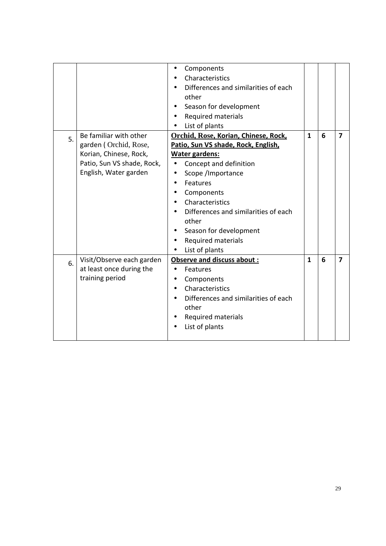|    |                                                                                                                                  | Components<br>$\bullet$<br>Characteristics<br>Differences and similarities of each<br>other<br>Season for development<br><b>Required materials</b><br>List of plants                                                                                                                                         |              |   |                |
|----|----------------------------------------------------------------------------------------------------------------------------------|--------------------------------------------------------------------------------------------------------------------------------------------------------------------------------------------------------------------------------------------------------------------------------------------------------------|--------------|---|----------------|
| 5. | Be familiar with other<br>garden (Orchid, Rose,<br>Korian, Chinese, Rock,<br>Patio, Sun VS shade, Rock,<br>English, Water garden | Orchid, Rose, Korian, Chinese, Rock,<br>Patio, Sun VS shade, Rock, English,<br>Water gardens:<br>Concept and definition<br>Scope /Importance<br>Features<br>Components<br>Characteristics<br>Differences and similarities of each<br>other<br>Season for development<br>Required materials<br>List of plants | $\mathbf{1}$ | 6 | $\overline{7}$ |
| 6. | Visit/Observe each garden<br>at least once during the<br>training period                                                         | Observe and discuss about:<br>Features<br>$\bullet$<br>Components<br>$\bullet$<br>Characteristics<br>Differences and similarities of each<br>other<br><b>Required materials</b><br>List of plants                                                                                                            | $\mathbf{1}$ | 6 | 7              |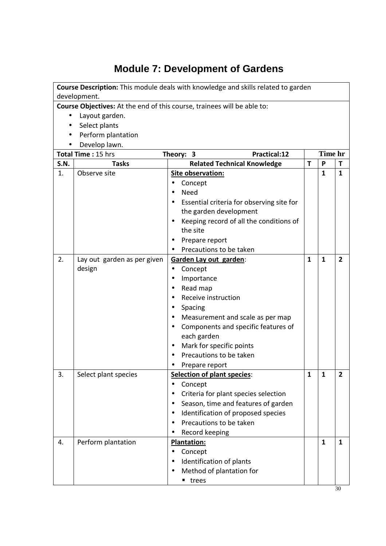# **Module 7: Development of Gardens**

| Course Description: This module deals with knowledge and skills related to garden |                                                                         |                                                        |              |              |                         |  |  |
|-----------------------------------------------------------------------------------|-------------------------------------------------------------------------|--------------------------------------------------------|--------------|--------------|-------------------------|--|--|
| development.                                                                      |                                                                         |                                                        |              |              |                         |  |  |
|                                                                                   | Course Objectives: At the end of this course, trainees will be able to: |                                                        |              |              |                         |  |  |
|                                                                                   | Layout garden.<br>Select plants                                         |                                                        |              |              |                         |  |  |
|                                                                                   | Perform plantation                                                      |                                                        |              |              |                         |  |  |
|                                                                                   | Develop lawn.                                                           |                                                        |              |              |                         |  |  |
|                                                                                   | Total Time: 15 hrs                                                      | Practical:12<br>Theory: 3                              |              | Time hr      |                         |  |  |
| <b>S.N.</b>                                                                       | <b>Tasks</b>                                                            | <b>Related Technical Knowledge</b>                     | T            | P            | T                       |  |  |
| 1.                                                                                | Observe site                                                            | Site observation:                                      |              | $\mathbf{1}$ | $\mathbf{1}$            |  |  |
|                                                                                   |                                                                         | Concept<br>$\bullet$                                   |              |              |                         |  |  |
|                                                                                   |                                                                         | <b>Need</b>                                            |              |              |                         |  |  |
|                                                                                   |                                                                         | Essential criteria for observing site for<br>$\bullet$ |              |              |                         |  |  |
|                                                                                   |                                                                         | the garden development                                 |              |              |                         |  |  |
|                                                                                   |                                                                         | Keeping record of all the conditions of                |              |              |                         |  |  |
|                                                                                   |                                                                         | the site                                               |              |              |                         |  |  |
|                                                                                   |                                                                         | Prepare report                                         |              |              |                         |  |  |
|                                                                                   |                                                                         | Precautions to be taken                                |              |              |                         |  |  |
| 2.                                                                                | Lay out garden as per given                                             | Garden Lay out garden:                                 | $\mathbf{1}$ | $\mathbf{1}$ | $\overline{2}$          |  |  |
|                                                                                   | design                                                                  | Concept<br>$\bullet$                                   |              |              |                         |  |  |
|                                                                                   |                                                                         | Importance<br>$\bullet$                                |              |              |                         |  |  |
|                                                                                   |                                                                         | Read map<br>$\bullet$                                  |              |              |                         |  |  |
|                                                                                   |                                                                         | Receive instruction                                    |              |              |                         |  |  |
|                                                                                   |                                                                         | Spacing<br>$\bullet$                                   |              |              |                         |  |  |
|                                                                                   |                                                                         | Measurement and scale as per map                       |              |              |                         |  |  |
|                                                                                   |                                                                         | Components and specific features of<br>$\bullet$       |              |              |                         |  |  |
|                                                                                   |                                                                         | each garden                                            |              |              |                         |  |  |
|                                                                                   |                                                                         | Mark for specific points<br>$\bullet$                  |              |              |                         |  |  |
|                                                                                   |                                                                         | Precautions to be taken                                |              |              |                         |  |  |
|                                                                                   |                                                                         | Prepare report                                         |              |              |                         |  |  |
| 3.                                                                                | Select plant species                                                    | <b>Selection of plant species:</b>                     | $\mathbf{1}$ | $\mathbf{1}$ | $\overline{\mathbf{2}}$ |  |  |
|                                                                                   |                                                                         | Concept                                                |              |              |                         |  |  |
|                                                                                   |                                                                         | Criteria for plant species selection                   |              |              |                         |  |  |
|                                                                                   |                                                                         | Season, time and features of garden<br>$\bullet$       |              |              |                         |  |  |
|                                                                                   |                                                                         | Identification of proposed species<br>$\bullet$        |              |              |                         |  |  |
|                                                                                   |                                                                         | Precautions to be taken<br>٠                           |              |              |                         |  |  |
|                                                                                   |                                                                         | Record keeping<br>$\bullet$                            |              |              |                         |  |  |
| 4.                                                                                | Perform plantation                                                      | Plantation:                                            |              | $\mathbf{1}$ | $\mathbf{1}$            |  |  |
|                                                                                   |                                                                         | Concept                                                |              |              |                         |  |  |
|                                                                                   |                                                                         | Identification of plants                               |              |              |                         |  |  |
|                                                                                   |                                                                         | Method of plantation for                               |              |              |                         |  |  |
|                                                                                   |                                                                         | trees                                                  |              |              |                         |  |  |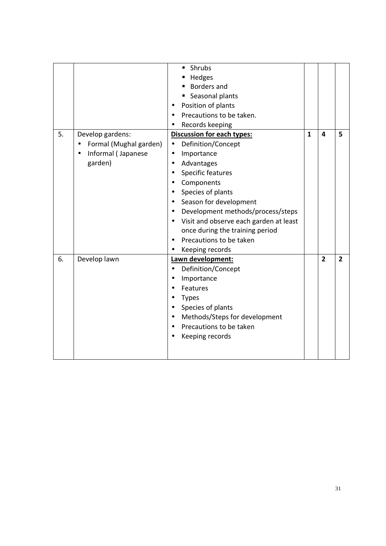| 5. | Develop gardens:<br>Formal (Mughal garden)<br>$\bullet$<br>Informal (Japanese<br>$\bullet$<br>garden) | <b>Shrubs</b><br>- Hedges<br><b>Borders and</b><br>Seasonal plants<br>Position of plants<br>Precautions to be taken.<br>Records keeping<br><b>Discussion for each types:</b><br>Definition/Concept<br>$\bullet$<br>Importance<br>$\bullet$<br>Advantages<br>$\bullet$<br>Specific features<br>$\bullet$<br>Components<br>$\bullet$<br>Species of plants<br>$\bullet$<br>Season for development<br>Development methods/process/steps<br>$\bullet$<br>Visit and observe each garden at least<br>$\bullet$<br>once during the training period<br>Precautions to be taken<br>Keeping records | $\mathbf{1}$ | $\overline{\mathbf{4}}$ | 5              |
|----|-------------------------------------------------------------------------------------------------------|------------------------------------------------------------------------------------------------------------------------------------------------------------------------------------------------------------------------------------------------------------------------------------------------------------------------------------------------------------------------------------------------------------------------------------------------------------------------------------------------------------------------------------------------------------------------------------------|--------------|-------------------------|----------------|
| 6. | Develop lawn                                                                                          | Lawn development:<br>Definition/Concept<br>Importance<br>$\bullet$<br>Features<br><b>Types</b><br>Species of plants<br>$\bullet$<br>Methods/Steps for development<br>$\bullet$<br>Precautions to be taken<br>Keeping records                                                                                                                                                                                                                                                                                                                                                             |              | $\overline{2}$          | $\overline{2}$ |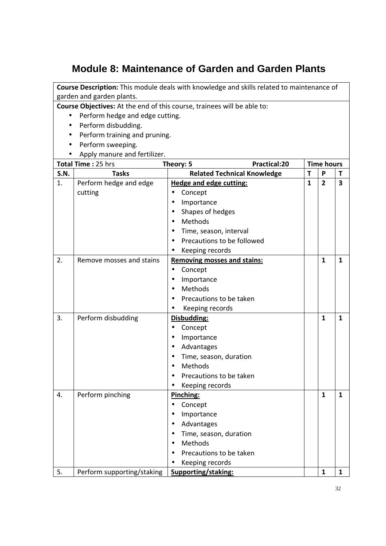## **Module 8: Maintenance of Garden and Garden Plants**

| Course Description: This module deals with knowledge and skills related to maintenance of |                                                 |                                                                         |              |                   |              |
|-------------------------------------------------------------------------------------------|-------------------------------------------------|-------------------------------------------------------------------------|--------------|-------------------|--------------|
|                                                                                           | garden and garden plants.                       |                                                                         |              |                   |              |
|                                                                                           |                                                 | Course Objectives: At the end of this course, trainees will be able to: |              |                   |              |
| $\bullet$                                                                                 | Perform hedge and edge cutting.                 |                                                                         |              |                   |              |
|                                                                                           | Perform disbudding.                             |                                                                         |              |                   |              |
|                                                                                           | Perform training and pruning.                   |                                                                         |              |                   |              |
|                                                                                           | Perform sweeping.                               |                                                                         |              |                   |              |
|                                                                                           | Apply manure and fertilizer.                    |                                                                         |              |                   |              |
|                                                                                           | Total Time: 25 hrs<br>Practical:20<br>Theory: 5 |                                                                         |              | <b>Time hours</b> |              |
| <b>S.N.</b>                                                                               | <b>Tasks</b>                                    | <b>Related Technical Knowledge</b>                                      | Τ            | P                 | Т            |
| 1.                                                                                        | Perform hedge and edge                          | <b>Hedge and edge cutting:</b>                                          | $\mathbf{1}$ | $\overline{2}$    | 3            |
|                                                                                           | cutting                                         | Concept                                                                 |              |                   |              |
|                                                                                           |                                                 | Importance<br>$\bullet$                                                 |              |                   |              |
|                                                                                           |                                                 | Shapes of hedges                                                        |              |                   |              |
|                                                                                           |                                                 | Methods<br>$\bullet$                                                    |              |                   |              |
|                                                                                           |                                                 | Time, season, interval                                                  |              |                   |              |
|                                                                                           |                                                 | Precautions to be followed<br>$\bullet$                                 |              |                   |              |
|                                                                                           |                                                 | Keeping records                                                         |              |                   |              |
| 2.                                                                                        | Remove mosses and stains                        | <b>Removing mosses and stains:</b>                                      |              | $\mathbf{1}$      | $\mathbf{1}$ |
|                                                                                           |                                                 | Concept<br>$\bullet$                                                    |              |                   |              |
|                                                                                           |                                                 | Importance<br>$\bullet$                                                 |              |                   |              |
|                                                                                           |                                                 | Methods                                                                 |              |                   |              |
|                                                                                           |                                                 | Precautions to be taken                                                 |              |                   |              |
|                                                                                           |                                                 | Keeping records<br>$\bullet$                                            |              |                   |              |
| 3.                                                                                        | Perform disbudding                              | Disbudding:                                                             |              | $\mathbf{1}$      | $\mathbf{1}$ |
|                                                                                           |                                                 | Concept<br>$\bullet$                                                    |              |                   |              |
|                                                                                           |                                                 | Importance<br>$\bullet$                                                 |              |                   |              |
|                                                                                           |                                                 | Advantages<br>$\bullet$                                                 |              |                   |              |
|                                                                                           |                                                 | Time, season, duration                                                  |              |                   |              |
|                                                                                           |                                                 | Methods                                                                 |              |                   |              |
|                                                                                           |                                                 | Precautions to be taken                                                 |              |                   |              |
|                                                                                           |                                                 | Keeping records                                                         |              |                   |              |
| 4.                                                                                        | Perform pinching                                | Pinching:                                                               |              | $\mathbf{1}$      | $\mathbf{1}$ |
|                                                                                           |                                                 | Concept<br>$\bullet$                                                    |              |                   |              |
|                                                                                           |                                                 | Importance                                                              |              |                   |              |
|                                                                                           |                                                 | Advantages                                                              |              |                   |              |
|                                                                                           |                                                 | Time, season, duration                                                  |              |                   |              |
|                                                                                           |                                                 | Methods                                                                 |              |                   |              |
|                                                                                           |                                                 | Precautions to be taken                                                 |              |                   |              |
|                                                                                           |                                                 | Keeping records                                                         |              |                   |              |
| 5.                                                                                        | Perform supporting/staking                      | Supporting/staking:                                                     |              | $\mathbf{1}$      | $\mathbf{1}$ |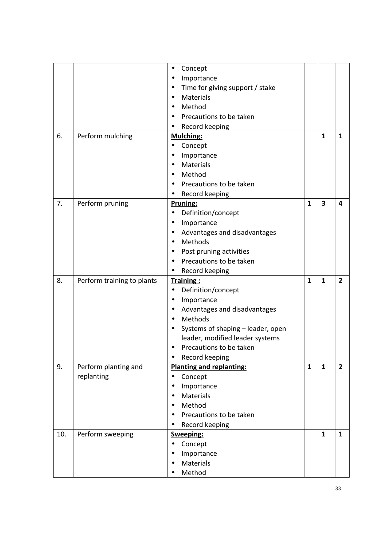|     |                            | Concept<br>$\bullet$                         |              |              |                |
|-----|----------------------------|----------------------------------------------|--------------|--------------|----------------|
|     |                            | Importance<br>$\bullet$                      |              |              |                |
|     |                            | Time for giving support / stake<br>$\bullet$ |              |              |                |
|     |                            | Materials                                    |              |              |                |
|     |                            | Method                                       |              |              |                |
|     |                            | Precautions to be taken                      |              |              |                |
|     |                            |                                              |              |              |                |
| 6.  | Perform mulching           | Record keeping<br>$\bullet$                  |              | $\mathbf{1}$ | $\mathbf{1}$   |
|     |                            | <b>Mulching:</b>                             |              |              |                |
|     |                            | Concept<br>$\bullet$                         |              |              |                |
|     |                            | Importance<br>$\bullet$<br>Materials         |              |              |                |
|     |                            | $\bullet$                                    |              |              |                |
|     |                            | Method<br>$\bullet$                          |              |              |                |
|     |                            | Precautions to be taken<br>٠                 |              |              |                |
|     |                            | Record keeping                               |              |              |                |
| 7.  | Perform pruning            | Pruning:                                     | $\mathbf{1}$ | 3            | 4              |
|     |                            | Definition/concept<br>$\bullet$              |              |              |                |
|     |                            | Importance<br>$\bullet$                      |              |              |                |
|     |                            | Advantages and disadvantages<br>$\bullet$    |              |              |                |
|     |                            | Methods<br>$\bullet$                         |              |              |                |
|     |                            | Post pruning activities<br>$\bullet$         |              |              |                |
|     |                            | Precautions to be taken                      |              |              |                |
|     |                            | Record keeping<br>$\bullet$                  |              |              |                |
| 8.  | Perform training to plants | Training:                                    | $\mathbf{1}$ | $\mathbf{1}$ | $\overline{2}$ |
|     |                            | Definition/concept<br>$\bullet$              |              |              |                |
|     |                            | Importance<br>$\bullet$                      |              |              |                |
|     |                            | Advantages and disadvantages<br>$\bullet$    |              |              |                |
|     |                            | Methods<br>$\bullet$                         |              |              |                |
|     |                            | Systems of shaping - leader, open            |              |              |                |
|     |                            | leader, modified leader systems              |              |              |                |
|     |                            | Precautions to be taken                      |              |              |                |
|     |                            | Record keeping<br>$\bullet$                  |              |              |                |
| 9.  | Perform planting and       | <b>Planting and replanting:</b>              | $\mathbf{1}$ | $\mathbf{1}$ | $\overline{2}$ |
|     | replanting                 | Concept<br>$\bullet$                         |              |              |                |
|     |                            | Importance<br>$\bullet$                      |              |              |                |
|     |                            | Materials<br>$\bullet$                       |              |              |                |
|     |                            | Method                                       |              |              |                |
|     |                            | Precautions to be taken<br>$\bullet$         |              |              |                |
|     |                            | Record keeping                               |              |              |                |
| 10. | Perform sweeping           | Sweeping:                                    |              | $\mathbf{1}$ | $\mathbf{1}$   |
|     |                            | Concept<br>$\bullet$                         |              |              |                |
|     |                            | Importance<br>$\bullet$                      |              |              |                |
|     |                            | Materials                                    |              |              |                |
|     |                            | Method<br>$\bullet$                          |              |              |                |
|     |                            |                                              |              |              |                |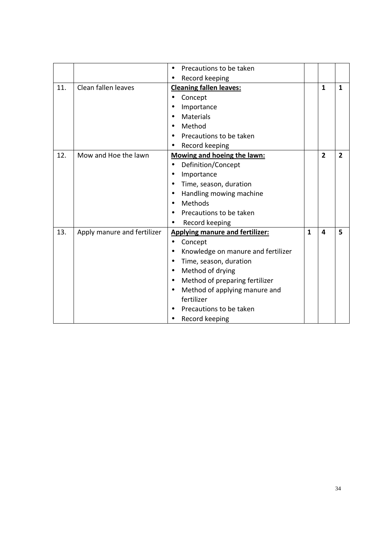|     |                             | Precautions to be taken<br>$\bullet$            |              |                         |                |
|-----|-----------------------------|-------------------------------------------------|--------------|-------------------------|----------------|
|     |                             | Record keeping                                  |              |                         |                |
| 11. | Clean fallen leaves         | <b>Cleaning fallen leaves:</b>                  |              | $\mathbf{1}$            | 1              |
|     |                             | Concept                                         |              |                         |                |
|     |                             | Importance<br>٠                                 |              |                         |                |
|     |                             | Materials                                       |              |                         |                |
|     |                             | Method                                          |              |                         |                |
|     |                             | Precautions to be taken                         |              |                         |                |
|     |                             | Record keeping                                  |              |                         |                |
| 12. | Mow and Hoe the lawn        | Mowing and hoeing the lawn:                     |              | $\overline{2}$          | $\overline{2}$ |
|     |                             | Definition/Concept<br>$\bullet$                 |              |                         |                |
|     |                             | Importance<br>$\bullet$                         |              |                         |                |
|     |                             | Time, season, duration<br>$\bullet$             |              |                         |                |
|     |                             | Handling mowing machine<br>$\bullet$            |              |                         |                |
|     |                             | Methods<br>$\bullet$                            |              |                         |                |
|     |                             | Precautions to be taken                         |              |                         |                |
|     |                             | Record keeping                                  |              |                         |                |
| 13. | Apply manure and fertilizer | <b>Applying manure and fertilizer:</b>          | $\mathbf{1}$ | $\overline{\mathbf{4}}$ | 5              |
|     |                             | Concept<br>$\bullet$                            |              |                         |                |
|     |                             | Knowledge on manure and fertilizer<br>$\bullet$ |              |                         |                |
|     |                             | Time, season, duration<br>$\bullet$             |              |                         |                |
|     |                             | Method of drying<br>$\bullet$                   |              |                         |                |
|     |                             | Method of preparing fertilizer<br>$\bullet$     |              |                         |                |
|     |                             | Method of applying manure and<br>$\bullet$      |              |                         |                |
|     |                             | fertilizer                                      |              |                         |                |
|     |                             | Precautions to be taken                         |              |                         |                |
|     |                             | Record keeping                                  |              |                         |                |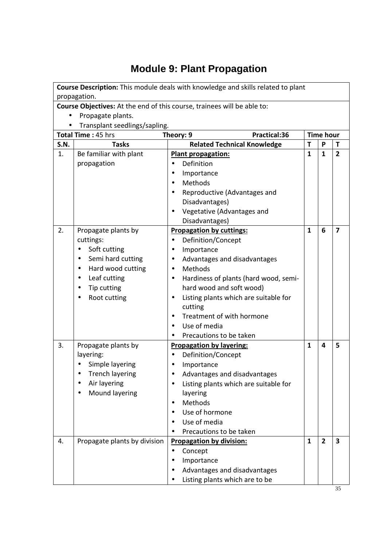# **Module 9: Plant Propagation**

|             | Course Description: This module deals with knowledge and skills related to plant |                                                                         |              |                         |                         |  |  |
|-------------|----------------------------------------------------------------------------------|-------------------------------------------------------------------------|--------------|-------------------------|-------------------------|--|--|
|             | propagation.                                                                     |                                                                         |              |                         |                         |  |  |
|             |                                                                                  | Course Objectives: At the end of this course, trainees will be able to: |              |                         |                         |  |  |
|             | Propagate plants.                                                                |                                                                         |              |                         |                         |  |  |
|             | Transplant seedlings/sapling.                                                    |                                                                         |              |                         |                         |  |  |
|             | Total Time: 45 hrs                                                               | Practical:36<br>Theory: 9                                               |              | <b>Time hour</b>        |                         |  |  |
| <b>S.N.</b> | <b>Tasks</b>                                                                     | <b>Related Technical Knowledge</b>                                      | T            | P                       | T                       |  |  |
| 1.          | Be familiar with plant                                                           | <b>Plant propagation:</b>                                               | $\mathbf{1}$ | $\mathbf{1}$            | $\overline{2}$          |  |  |
|             | propagation                                                                      | Definition                                                              |              |                         |                         |  |  |
|             |                                                                                  | Importance                                                              |              |                         |                         |  |  |
|             |                                                                                  | Methods                                                                 |              |                         |                         |  |  |
|             |                                                                                  | Reproductive (Advantages and<br>$\bullet$                               |              |                         |                         |  |  |
|             |                                                                                  | Disadvantages)                                                          |              |                         |                         |  |  |
|             |                                                                                  | Vegetative (Advantages and                                              |              |                         |                         |  |  |
|             |                                                                                  | Disadvantages)                                                          |              |                         |                         |  |  |
| 2.          | Propagate plants by                                                              | <b>Propagation by cuttings:</b>                                         | $\mathbf{1}$ | 6                       | $\overline{\mathbf{z}}$ |  |  |
|             | cuttings:                                                                        | Definition/Concept<br>$\bullet$                                         |              |                         |                         |  |  |
|             | Soft cutting                                                                     | Importance<br>$\bullet$                                                 |              |                         |                         |  |  |
|             | Semi hard cutting                                                                | Advantages and disadvantages<br>$\bullet$                               |              |                         |                         |  |  |
|             | Hard wood cutting                                                                | Methods                                                                 |              |                         |                         |  |  |
|             | Leaf cutting<br>$\bullet$                                                        | Hardiness of plants (hard wood, semi-<br>$\bullet$                      |              |                         |                         |  |  |
|             | Tip cutting                                                                      | hard wood and soft wood)                                                |              |                         |                         |  |  |
|             | Root cutting                                                                     | Listing plants which are suitable for<br>$\bullet$                      |              |                         |                         |  |  |
|             |                                                                                  | cutting<br>Treatment of with hormone<br>$\bullet$                       |              |                         |                         |  |  |
|             |                                                                                  | Use of media                                                            |              |                         |                         |  |  |
|             |                                                                                  | Precautions to be taken                                                 |              |                         |                         |  |  |
| 3.          | Propagate plants by                                                              | <b>Propagation by layering:</b>                                         | $\mathbf{1}$ | $\overline{\mathbf{4}}$ | 5                       |  |  |
|             | layering:                                                                        | Definition/Concept                                                      |              |                         |                         |  |  |
|             | Simple layering                                                                  | Importance<br>$\bullet$                                                 |              |                         |                         |  |  |
|             | <b>Trench layering</b>                                                           | Advantages and disadvantages                                            |              |                         |                         |  |  |
|             | Air layering                                                                     | Listing plants which are suitable for                                   |              |                         |                         |  |  |
|             | Mound layering                                                                   | layering                                                                |              |                         |                         |  |  |
|             |                                                                                  | Methods<br>$\bullet$                                                    |              |                         |                         |  |  |
|             |                                                                                  | Use of hormone                                                          |              |                         |                         |  |  |
|             |                                                                                  | Use of media                                                            |              |                         |                         |  |  |
|             |                                                                                  | Precautions to be taken                                                 |              |                         |                         |  |  |
| 4.          | Propagate plants by division                                                     | <b>Propagation by division:</b>                                         | $\mathbf{1}$ | $\overline{2}$          | 3                       |  |  |
|             |                                                                                  | Concept<br>$\bullet$                                                    |              |                         |                         |  |  |
|             |                                                                                  | Importance                                                              |              |                         |                         |  |  |
|             |                                                                                  | Advantages and disadvantages                                            |              |                         |                         |  |  |
|             |                                                                                  | Listing plants which are to be                                          |              |                         |                         |  |  |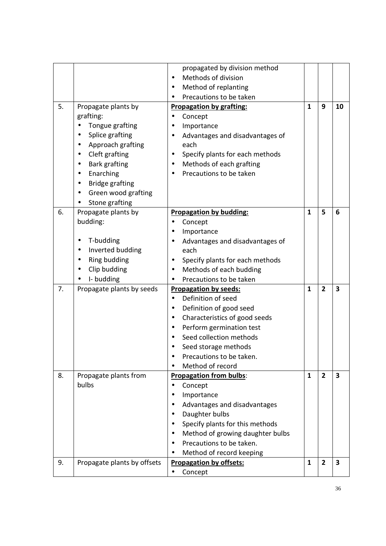|    |                               | propagated by division method                 |              |                |                         |
|----|-------------------------------|-----------------------------------------------|--------------|----------------|-------------------------|
|    |                               | Methods of division                           |              |                |                         |
|    |                               | Method of replanting<br>$\bullet$             |              |                |                         |
|    |                               | Precautions to be taken                       |              |                |                         |
| 5. | Propagate plants by           | <b>Propagation by grafting:</b>               | $\mathbf{1}$ | 9              | 10                      |
|    | grafting:                     | Concept<br>$\bullet$                          |              |                |                         |
|    | Tongue grafting               | Importance<br>$\bullet$                       |              |                |                         |
|    | Splice grafting               | Advantages and disadvantages of<br>$\bullet$  |              |                |                         |
|    | Approach grafting             | each                                          |              |                |                         |
|    | Cleft grafting<br>$\bullet$   | Specify plants for each methods<br>$\bullet$  |              |                |                         |
|    | <b>Bark grafting</b>          | Methods of each grafting<br>$\bullet$         |              |                |                         |
|    | Enarching<br>٠                | Precautions to be taken<br>$\bullet$          |              |                |                         |
|    | <b>Bridge grafting</b>        |                                               |              |                |                         |
|    | Green wood grafting           |                                               |              |                |                         |
|    | Stone grafting                |                                               |              |                |                         |
| 6. | Propagate plants by           | <b>Propagation by budding:</b>                | 1            | 5              | 6                       |
|    | budding:                      | Concept<br>$\bullet$                          |              |                |                         |
|    |                               | Importance<br>$\bullet$                       |              |                |                         |
|    | T-budding                     | Advantages and disadvantages of<br>$\bullet$  |              |                |                         |
|    | Inverted budding<br>$\bullet$ | each                                          |              |                |                         |
|    | Ring budding                  | Specify plants for each methods<br>$\bullet$  |              |                |                         |
|    | Clip budding                  | Methods of each budding<br>$\bullet$          |              |                |                         |
|    | I-budding                     | Precautions to be taken<br>$\bullet$          |              |                |                         |
| 7. | Propagate plants by seeds     | <b>Propagation by seeds:</b>                  | 1            | $\overline{2}$ | 3                       |
|    |                               | Definition of seed<br>$\bullet$               |              |                |                         |
|    |                               | Definition of good seed<br>$\bullet$          |              |                |                         |
|    |                               | Characteristics of good seeds<br>$\bullet$    |              |                |                         |
|    |                               | Perform germination test<br>$\bullet$         |              |                |                         |
|    |                               | Seed collection methods                       |              |                |                         |
|    |                               | Seed storage methods                          |              |                |                         |
|    |                               | Precautions to be taken.                      |              |                |                         |
|    |                               | Method of record                              |              |                |                         |
| 8. | Propagate plants from         | <b>Propagation from bulbs:</b>                | $\mathbf{1}$ | $\overline{2}$ | $\overline{\mathbf{3}}$ |
|    | bulbs                         | Concept<br>$\bullet$                          |              |                |                         |
|    |                               | Importance<br>$\bullet$                       |              |                |                         |
|    |                               | Advantages and disadvantages<br>$\bullet$     |              |                |                         |
|    |                               | Daughter bulbs<br>$\bullet$                   |              |                |                         |
|    |                               | Specify plants for this methods<br>$\bullet$  |              |                |                         |
|    |                               | Method of growing daughter bulbs<br>$\bullet$ |              |                |                         |
|    |                               | Precautions to be taken.                      |              |                |                         |
|    |                               | Method of record keeping                      |              |                |                         |
| 9. | Propagate plants by offsets   | <b>Propagation by offsets:</b>                | $\mathbf{1}$ | $\overline{2}$ | $\overline{\mathbf{3}}$ |
|    |                               | Concept<br>$\bullet$                          |              |                |                         |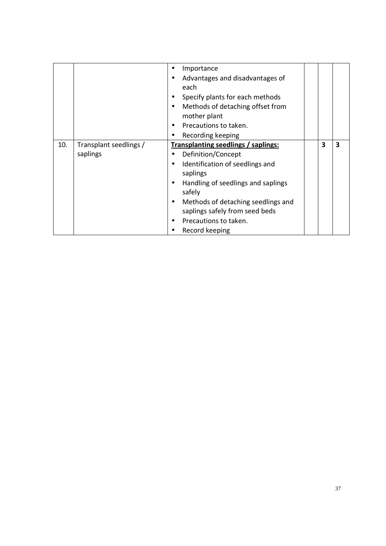|     |                                    | Importance<br>Advantages and disadvantages of<br>each<br>Specify plants for each methods<br>Methods of detaching offset from<br>mother plant<br>Precautions to taken.<br>٠<br>Recording keeping<br>$\bullet$                                                                                                              |   |   |
|-----|------------------------------------|---------------------------------------------------------------------------------------------------------------------------------------------------------------------------------------------------------------------------------------------------------------------------------------------------------------------------|---|---|
| 10. | Transplant seedlings /<br>saplings | <b>Transplanting seedlings / saplings:</b><br>Definition/Concept<br>Identification of seedlings and<br>$\bullet$<br>saplings<br>Handling of seedlings and saplings<br>$\bullet$<br>safely<br>Methods of detaching seedlings and<br>$\bullet$<br>saplings safely from seed beds<br>Precautions to taken.<br>Record keeping | 3 | 3 |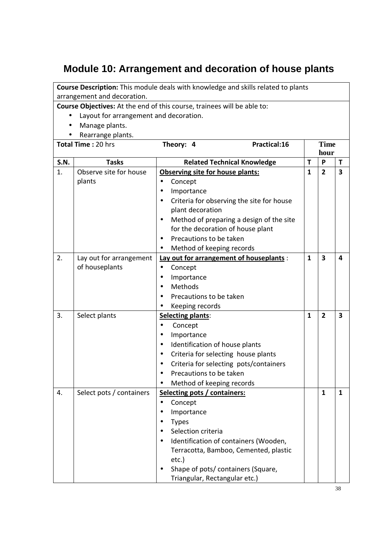### **Module 10: Arrangement and decoration of house plants**

**Course Description:** This module deals with knowledge and skills related to plants arrangement and decoration.

- Layout for arrangement and decoration.
- Manage plants.
- Rearrange plants.

|             | ncarrange plants.<br>Total Time: 20 hrs   | Theory: 4                                                                                                                                                                                                                                   | Practical:16                                                                                                         |              | <b>Time</b><br>hour     |                         |
|-------------|-------------------------------------------|---------------------------------------------------------------------------------------------------------------------------------------------------------------------------------------------------------------------------------------------|----------------------------------------------------------------------------------------------------------------------|--------------|-------------------------|-------------------------|
| <b>S.N.</b> | <b>Tasks</b>                              |                                                                                                                                                                                                                                             | <b>Related Technical Knowledge</b>                                                                                   | T            | P                       | T                       |
| 1.          | Observe site for house<br>plants          | Observing site for house plants:<br>Concept<br>$\bullet$<br>Importance<br>$\bullet$<br>$\bullet$<br>plant decoration<br>$\bullet$<br>for the decoration of house plant<br>Precautions to be taken<br>Method of keeping records<br>$\bullet$ | Criteria for observing the site for house<br>Method of preparing a design of the site                                | $\mathbf{1}$ | $\overline{2}$          | $\overline{\mathbf{3}}$ |
| 2.          | Lay out for arrangement<br>of houseplants | Concept<br>$\bullet$<br>Importance<br>٠<br>Methods<br>$\bullet$<br>Precautions to be taken<br>Keeping records                                                                                                                               | Lay out for arrangement of houseplants :                                                                             | $\mathbf{1}$ | $\overline{\mathbf{3}}$ | 4                       |
| 3.          | Select plants                             | Selecting plants:<br>Concept<br>$\bullet$<br>Importance<br>$\bullet$<br>Identification of house plants<br>$\bullet$<br>$\bullet$<br>$\bullet$<br>Precautions to be taken<br>Method of keeping records                                       | Criteria for selecting house plants<br>Criteria for selecting pots/containers                                        | $\mathbf{1}$ | $\overline{2}$          | 3                       |
| 4.          | Select pots / containers                  | Selecting pots / containers:<br>Concept<br>$\bullet$<br>Importance<br><b>Types</b><br>Selection criteria<br>$etc.$ )<br>Triangular, Rectangular etc.)                                                                                       | Identification of containers (Wooden,<br>Terracotta, Bamboo, Cemented, plastic<br>Shape of pots/ containers (Square, |              | $\mathbf{1}$            | $\mathbf{1}$            |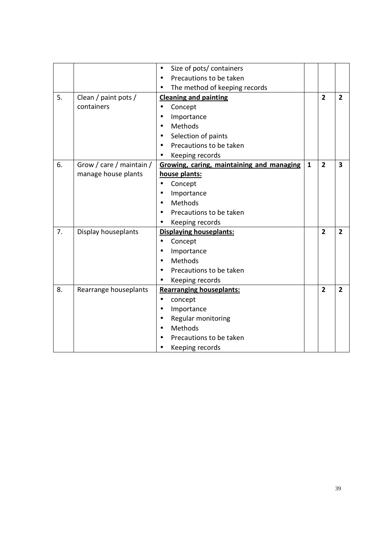|    |                          | Size of pots/ containers<br>$\bullet$      |              |                |                |
|----|--------------------------|--------------------------------------------|--------------|----------------|----------------|
|    |                          | Precautions to be taken                    |              |                |                |
|    |                          | The method of keeping records<br>$\bullet$ |              |                |                |
| 5. | Clean / paint pots /     | <b>Cleaning and painting</b>               |              | $\overline{2}$ | $\overline{2}$ |
|    | containers               | Concept<br>$\bullet$                       |              |                |                |
|    |                          | Importance<br>$\bullet$                    |              |                |                |
|    |                          | Methods<br>$\bullet$                       |              |                |                |
|    |                          | Selection of paints<br>$\bullet$           |              |                |                |
|    |                          | Precautions to be taken                    |              |                |                |
|    |                          | Keeping records                            |              |                |                |
| 6. | Grow / care / maintain / | Growing, caring, maintaining and managing  | $\mathbf{1}$ | $\overline{2}$ | 3              |
|    | manage house plants      | house plants:                              |              |                |                |
|    |                          | Concept<br>$\bullet$                       |              |                |                |
|    |                          | Importance<br>$\bullet$                    |              |                |                |
|    |                          | Methods<br>$\bullet$                       |              |                |                |
|    |                          | Precautions to be taken                    |              |                |                |
|    |                          | Keeping records                            |              |                |                |
| 7. | Display houseplants      | <b>Displaying houseplants:</b>             |              | $\overline{2}$ | $\overline{2}$ |
|    |                          | Concept                                    |              |                |                |
|    |                          | Importance                                 |              |                |                |
|    |                          | Methods                                    |              |                |                |
|    |                          | Precautions to be taken                    |              |                |                |
|    |                          | Keeping records                            |              |                |                |
| 8. | Rearrange houseplants    | <b>Rearranging houseplants:</b>            |              | $\overline{2}$ | $\overline{2}$ |
|    |                          | concept<br>$\bullet$                       |              |                |                |
|    |                          | Importance                                 |              |                |                |
|    |                          | Regular monitoring<br>$\bullet$            |              |                |                |
|    |                          | Methods                                    |              |                |                |
|    |                          | Precautions to be taken                    |              |                |                |
|    |                          | Keeping records                            |              |                |                |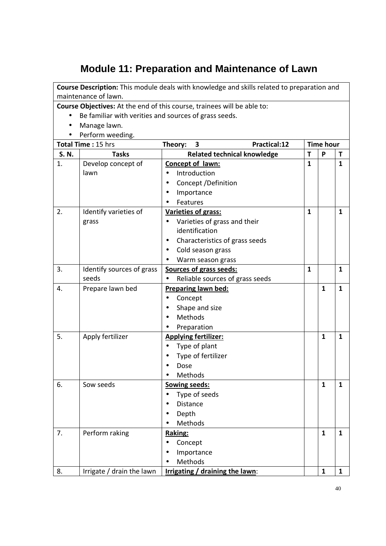# **Module 11: Preparation and Maintenance of Lawn**

|       | maintenance of lawn.                                  | Course Description: This module deals with knowledge and skills related to preparation and |              |                  |              |
|-------|-------------------------------------------------------|--------------------------------------------------------------------------------------------|--------------|------------------|--------------|
|       |                                                       | Course Objectives: At the end of this course, trainees will be able to:                    |              |                  |              |
|       | Be familiar with verities and sources of grass seeds. |                                                                                            |              |                  |              |
|       | Manage lawn.                                          |                                                                                            |              |                  |              |
|       | Perform weeding.                                      |                                                                                            |              |                  |              |
|       | Total Time: 15 hrs                                    | <b>Practical:12</b><br>Theory:<br>3                                                        |              | <b>Time hour</b> |              |
| S. N. | <b>Tasks</b>                                          | <b>Related technical knowledge</b>                                                         | T            | P                | Τ            |
| 1.    | Develop concept of                                    | Concept of lawn:                                                                           | $\mathbf{1}$ |                  | $\mathbf{1}$ |
|       | lawn                                                  | Introduction                                                                               |              |                  |              |
|       |                                                       | Concept / Definition                                                                       |              |                  |              |
|       |                                                       | Importance                                                                                 |              |                  |              |
|       |                                                       | Features                                                                                   |              |                  |              |
| 2.    | Identify varieties of                                 | Varieties of grass:                                                                        | $\mathbf{1}$ |                  | $\mathbf{1}$ |
|       | grass                                                 | Varieties of grass and their                                                               |              |                  |              |
|       |                                                       | identification                                                                             |              |                  |              |
|       |                                                       | Characteristics of grass seeds<br>٠                                                        |              |                  |              |
|       |                                                       | Cold season grass                                                                          |              |                  |              |
|       |                                                       | Warm season grass                                                                          |              |                  |              |
| 3.    | Identify sources of grass                             | Sources of grass seeds:                                                                    | $\mathbf{1}$ |                  | $\mathbf{1}$ |
|       | seeds                                                 | Reliable sources of grass seeds                                                            |              |                  |              |
| 4.    | Prepare lawn bed                                      | <b>Preparing lawn bed:</b>                                                                 |              | $\mathbf{1}$     | $\mathbf{1}$ |
|       |                                                       | Concept                                                                                    |              |                  |              |
|       |                                                       | Shape and size                                                                             |              |                  |              |
|       |                                                       | Methods                                                                                    |              |                  |              |
|       |                                                       | Preparation                                                                                |              |                  |              |
| 5.    | Apply fertilizer                                      | <b>Applying fertilizer:</b>                                                                |              | $\mathbf{1}$     | $\mathbf{1}$ |
|       |                                                       | Type of plant                                                                              |              |                  |              |
|       |                                                       | Type of fertilizer                                                                         |              |                  |              |
|       |                                                       | Dose                                                                                       |              |                  |              |
|       |                                                       | Methods                                                                                    |              |                  |              |
| 6.    | Sow seeds                                             | <b>Sowing seeds:</b>                                                                       |              | $\mathbf{1}$     | $\mathbf{1}$ |
|       |                                                       | Type of seeds                                                                              |              |                  |              |
|       |                                                       | Distance                                                                                   |              |                  |              |
|       |                                                       | Depth                                                                                      |              |                  |              |
|       |                                                       | Methods                                                                                    |              |                  |              |
| 7.    | Perform raking                                        | Raking:                                                                                    |              | $\mathbf{1}$     | $\mathbf{1}$ |
|       |                                                       | Concept                                                                                    |              |                  |              |
|       |                                                       | Importance                                                                                 |              |                  |              |
|       |                                                       | Methods                                                                                    |              |                  |              |
| 8.    |                                                       |                                                                                            |              | $\mathbf{1}$     | $\mathbf{1}$ |
|       | Irrigate / drain the lawn                             | Irrigating / draining the lawn:                                                            |              |                  |              |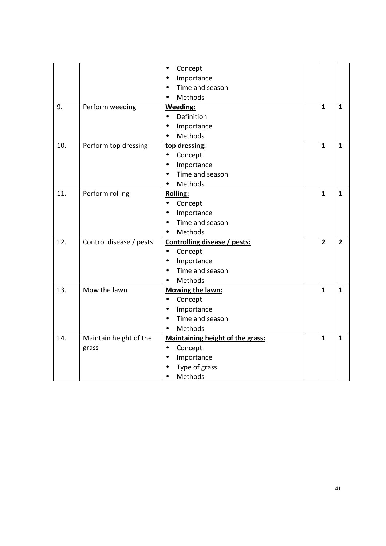|     |                         | Concept<br>$\bullet$             |                |                |
|-----|-------------------------|----------------------------------|----------------|----------------|
|     |                         | Importance<br>$\bullet$          |                |                |
|     |                         | Time and season                  |                |                |
|     |                         | Methods                          |                |                |
| 9.  | Perform weeding         | <b>Weeding:</b>                  | 1              | 1              |
|     |                         | Definition<br>$\bullet$          |                |                |
|     |                         | Importance                       |                |                |
|     |                         | Methods                          |                |                |
| 10. | Perform top dressing    | top dressing:                    | $\mathbf{1}$   | $\mathbf{1}$   |
|     |                         | Concept<br>$\bullet$             |                |                |
|     |                         | Importance<br>$\bullet$          |                |                |
|     |                         | Time and season<br>$\bullet$     |                |                |
|     |                         | Methods                          |                |                |
| 11. | Perform rolling         | <b>Rolling:</b>                  | $\mathbf{1}$   | $\mathbf{1}$   |
|     |                         | Concept                          |                |                |
|     |                         | Importance<br>$\bullet$          |                |                |
|     |                         | Time and season<br>$\bullet$     |                |                |
|     |                         | Methods                          |                |                |
| 12. | Control disease / pests | Controlling disease / pests:     | $\overline{2}$ | $\overline{2}$ |
|     |                         | Concept<br>$\bullet$             |                |                |
|     |                         | Importance<br>$\bullet$          |                |                |
|     |                         | Time and season                  |                |                |
|     |                         | Methods                          |                |                |
| 13. | Mow the lawn            | <b>Mowing the lawn:</b>          | $\mathbf{1}$   | $\mathbf{1}$   |
|     |                         | Concept<br>$\bullet$             |                |                |
|     |                         | Importance<br>$\bullet$          |                |                |
|     |                         | Time and season                  |                |                |
|     |                         | Methods<br>$\bullet$             |                |                |
| 14. | Maintain height of the  | Maintaining height of the grass: | $\mathbf{1}$   | $\mathbf{1}$   |
|     | grass                   | Concept<br>$\bullet$             |                |                |
|     |                         | Importance<br>$\bullet$          |                |                |
|     |                         | Type of grass                    |                |                |
|     |                         | Methods                          |                |                |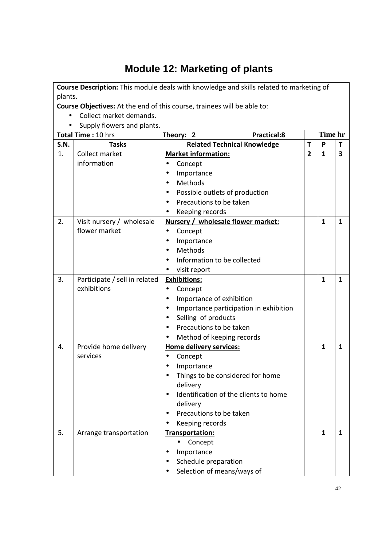# **Module 12: Marketing of plants**

|             |                               | Course Description: This module deals with knowledge and skills related to marketing of |                |              |                         |
|-------------|-------------------------------|-----------------------------------------------------------------------------------------|----------------|--------------|-------------------------|
| plants.     |                               |                                                                                         |                |              |                         |
|             |                               | Course Objectives: At the end of this course, trainees will be able to:                 |                |              |                         |
|             | Collect market demands.       |                                                                                         |                |              |                         |
|             | Supply flowers and plants.    |                                                                                         |                |              |                         |
|             | Total Time: 10 hrs            | <b>Practical:8</b><br>Theory: 2                                                         |                | Time hr      |                         |
| <b>S.N.</b> | <b>Tasks</b>                  | <b>Related Technical Knowledge</b>                                                      | T              | P            | T                       |
| 1.          | Collect market                | <b>Market information:</b>                                                              | $\overline{2}$ | $\mathbf{1}$ | $\overline{\mathbf{3}}$ |
|             | information                   | Concept                                                                                 |                |              |                         |
|             |                               | Importance                                                                              |                |              |                         |
|             |                               | Methods<br>$\bullet$                                                                    |                |              |                         |
|             |                               | Possible outlets of production                                                          |                |              |                         |
|             |                               | Precautions to be taken                                                                 |                |              |                         |
|             |                               | Keeping records                                                                         |                |              |                         |
| 2.          | Visit nursery / wholesale     | Nursery / wholesale flower market:                                                      |                | $\mathbf{1}$ | $\mathbf{1}$            |
|             | flower market                 | Concept<br>$\bullet$                                                                    |                |              |                         |
|             |                               | Importance                                                                              |                |              |                         |
|             |                               | Methods                                                                                 |                |              |                         |
|             |                               | Information to be collected                                                             |                |              |                         |
|             |                               | visit report                                                                            |                |              |                         |
| 3.          | Participate / sell in related | <b>Exhibitions:</b>                                                                     |                | $\mathbf{1}$ | $\mathbf{1}$            |
|             | exhibitions                   | Concept                                                                                 |                |              |                         |
|             |                               | Importance of exhibition<br>$\bullet$                                                   |                |              |                         |
|             |                               | Importance participation in exhibition                                                  |                |              |                         |
|             |                               | Selling of products                                                                     |                |              |                         |
|             |                               | Precautions to be taken                                                                 |                |              |                         |
|             |                               | Method of keeping records                                                               |                |              |                         |
| 4.          | Provide home delivery         | Home delivery services:                                                                 |                | 1            | $\mathbf{1}$            |
|             | services                      | Concept<br>$\bullet$                                                                    |                |              |                         |
|             |                               | Importance                                                                              |                |              |                         |
|             |                               | Things to be considered for home                                                        |                |              |                         |
|             |                               | delivery                                                                                |                |              |                         |
|             |                               | Identification of the clients to home                                                   |                |              |                         |
|             |                               | delivery                                                                                |                |              |                         |
|             |                               | Precautions to be taken<br>$\bullet$                                                    |                |              |                         |
|             |                               | Keeping records                                                                         |                |              |                         |
| 5.          | Arrange transportation        | Transportation:                                                                         |                | $\mathbf{1}$ | $\mathbf{1}$            |
|             |                               | Concept<br>$\bullet$                                                                    |                |              |                         |
|             |                               | Importance                                                                              |                |              |                         |
|             |                               | Schedule preparation                                                                    |                |              |                         |
|             |                               | Selection of means/ways of                                                              |                |              |                         |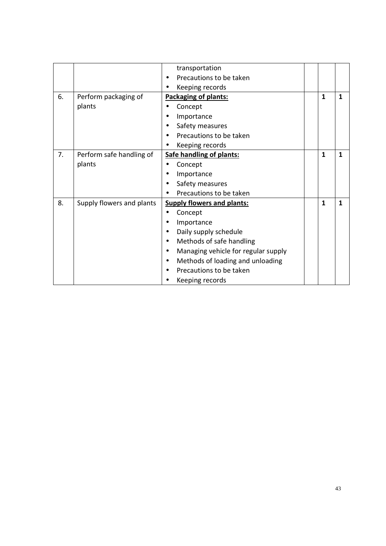|    |                           | transportation                      |   |              |
|----|---------------------------|-------------------------------------|---|--------------|
|    |                           | Precautions to be taken             |   |              |
|    |                           | Keeping records                     |   |              |
| 6. | Perform packaging of      | Packaging of plants:                | 1 | $\mathbf{1}$ |
|    | plants                    | Concept                             |   |              |
|    |                           | Importance                          |   |              |
|    |                           | Safety measures                     |   |              |
|    |                           | Precautions to be taken             |   |              |
|    |                           | Keeping records                     |   |              |
| 7. | Perform safe handling of  | Safe handling of plants:            | 1 | 1            |
|    | plants                    | Concept                             |   |              |
|    |                           | Importance                          |   |              |
|    |                           | Safety measures                     |   |              |
|    |                           | Precautions to be taken             |   |              |
| 8. | Supply flowers and plants | <b>Supply flowers and plants:</b>   | 1 | $\mathbf{1}$ |
|    |                           | Concept                             |   |              |
|    |                           | Importance                          |   |              |
|    |                           | Daily supply schedule               |   |              |
|    |                           | Methods of safe handling            |   |              |
|    |                           | Managing vehicle for regular supply |   |              |
|    |                           | Methods of loading and unloading    |   |              |
|    |                           | Precautions to be taken             |   |              |
|    |                           | Keeping records                     |   |              |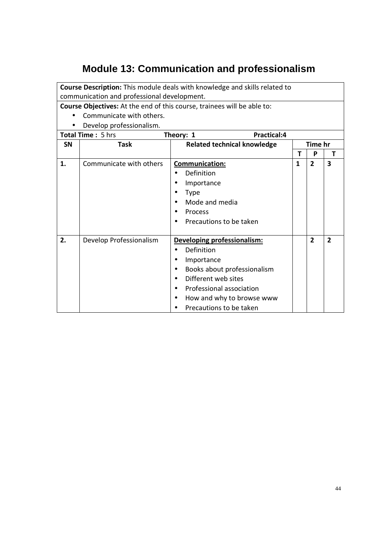## **Module 13: Communication and professionalism**

**Course Description:** This module deals with knowledge and skills related to communication and professional development.

- Communicate with others.
- Develop professionalism.

| Develop professionalism. |                          |                                       |              |                |                         |  |  |  |
|--------------------------|--------------------------|---------------------------------------|--------------|----------------|-------------------------|--|--|--|
|                          | <b>Total Time: 5 hrs</b> | Practical:4<br>Theory: 1              |              |                |                         |  |  |  |
| <b>SN</b>                | <b>Task</b>              | <b>Related technical knowledge</b>    | Time hr      |                |                         |  |  |  |
|                          |                          |                                       | т            | P              | т                       |  |  |  |
| 1.                       | Communicate with others  | <b>Communication:</b>                 | $\mathbf{1}$ | $\overline{2}$ | $\overline{\mathbf{3}}$ |  |  |  |
|                          |                          | Definition                            |              |                |                         |  |  |  |
|                          |                          | Importance                            |              |                |                         |  |  |  |
|                          |                          | <b>Type</b>                           |              |                |                         |  |  |  |
|                          |                          | Mode and media                        |              |                |                         |  |  |  |
|                          |                          | Process                               |              |                |                         |  |  |  |
|                          |                          | Precautions to be taken<br>$\bullet$  |              |                |                         |  |  |  |
|                          |                          |                                       |              |                |                         |  |  |  |
| 2.                       | Develop Professionalism  | Developing professionalism:           |              | $\overline{2}$ | $\overline{2}$          |  |  |  |
|                          |                          | Definition                            |              |                |                         |  |  |  |
|                          |                          | Importance                            |              |                |                         |  |  |  |
|                          |                          | Books about professionalism           |              |                |                         |  |  |  |
|                          |                          | Different web sites                   |              |                |                         |  |  |  |
|                          |                          | Professional association<br>$\bullet$ |              |                |                         |  |  |  |
|                          |                          | How and why to browse www             |              |                |                         |  |  |  |
|                          |                          | Precautions to be taken               |              |                |                         |  |  |  |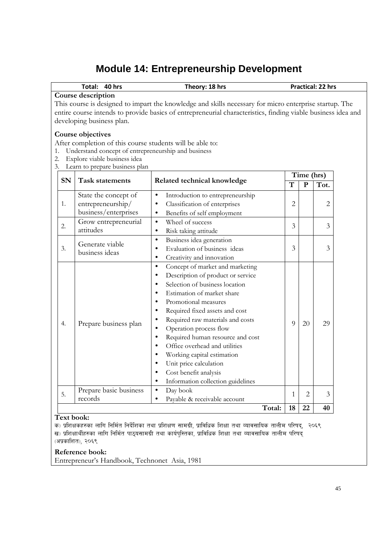## **Module 14: Entrepreneurship Development**

|                                                                                                                                                                                                                                                                           | Total:<br><b>Practical: 22 hrs</b><br><b>40 hrs</b><br>Theory: 18 hrs                                                                                                                                   |                                                                                                                                                                                                                                                                                                                                                                                                     |   |                            |      |  |  |  |
|---------------------------------------------------------------------------------------------------------------------------------------------------------------------------------------------------------------------------------------------------------------------------|---------------------------------------------------------------------------------------------------------------------------------------------------------------------------------------------------------|-----------------------------------------------------------------------------------------------------------------------------------------------------------------------------------------------------------------------------------------------------------------------------------------------------------------------------------------------------------------------------------------------------|---|----------------------------|------|--|--|--|
| Course description<br>This course is designed to impart the knowledge and skills necessary for micro enterprise startup. The<br>entire course intends to provide basics of entrepreneurial characteristics, finding viable business idea and<br>developing business plan. |                                                                                                                                                                                                         |                                                                                                                                                                                                                                                                                                                                                                                                     |   |                            |      |  |  |  |
| 1.<br>2.<br>3.                                                                                                                                                                                                                                                            | Course objectives<br>After completion of this course students will be able to:<br>Understand concept of entrepreneurship and business<br>Explore viable business idea<br>Learn to prepare business plan |                                                                                                                                                                                                                                                                                                                                                                                                     |   |                            |      |  |  |  |
| <b>SN</b>                                                                                                                                                                                                                                                                 | <b>Task statements</b>                                                                                                                                                                                  | Related technical knowledge                                                                                                                                                                                                                                                                                                                                                                         | T | Time (hrs)<br>$\mathbf{P}$ | Tot. |  |  |  |
| 1.                                                                                                                                                                                                                                                                        | State the concept of<br>entrepreneurship/<br>business/enterprises                                                                                                                                       | Introduction to entrepreneurship<br>$\bullet$<br>Classification of enterprises<br>$\bullet$<br>Benefits of self employment<br>٠                                                                                                                                                                                                                                                                     | 2 |                            | 2    |  |  |  |
| 2.                                                                                                                                                                                                                                                                        | Grow entrepreneurial<br>attitudes                                                                                                                                                                       | Wheel of success<br>$\bullet$<br>Risk taking attitude<br>$\bullet$                                                                                                                                                                                                                                                                                                                                  | 3 |                            | 3    |  |  |  |
| 3.                                                                                                                                                                                                                                                                        | Generate viable<br>business ideas                                                                                                                                                                       | Business idea generation<br>$\bullet$<br>Evaluation of business ideas<br>$\bullet$<br>Creativity and innovation<br>$\bullet$                                                                                                                                                                                                                                                                        | 3 |                            | 3    |  |  |  |
| 4.                                                                                                                                                                                                                                                                        | Prepare business plan                                                                                                                                                                                   | Concept of market and marketing<br>$\bullet$<br>Description of product or service<br>٠<br>Selection of business location<br>Estimation of market share<br>Promotional measures<br>Required fixed assets and cost<br>Required raw materials and costs<br>٠<br>Operation process flow<br>$\bullet$<br>Required human resource and cost<br>Office overhead and utilities<br>Working capital estimation | 9 | 20                         | 29   |  |  |  |

|  |    |                        |                                   | Total: | 22 | 40 |
|--|----|------------------------|-----------------------------------|--------|----|----|
|  |    | records                | Payable & receivable account      |        |    |    |
|  | 5. | Prepare basic business | Day book                          |        |    | 3  |
|  |    |                        | Information collection guidelines |        |    |    |
|  |    |                        | Cost benefit analysis             |        |    |    |
|  |    |                        | Unit price calculation            |        |    |    |

### **Text book:**

क) प्रशिक्षकहरुका लागि निर्मित निर्देशिका तथा प्रशिक्षण सामग्री, प्राविधिक शिक्षा तथा व्यावसायिक तालीम परिषद्, २०६९ ख) प्रशिक्षार्थीहरुका लागि निर्मित पाठ्यसामग्री तथा कार्यपुस्तिका, प्राविधिक शिक्षा तथा व्यावसायिक तालीम परिषद् (अप्रकाशित), २०६९

### **Reference book:**

Entrepreneur's Handbook, Technonet Asia, 1981

 $\overline{3}$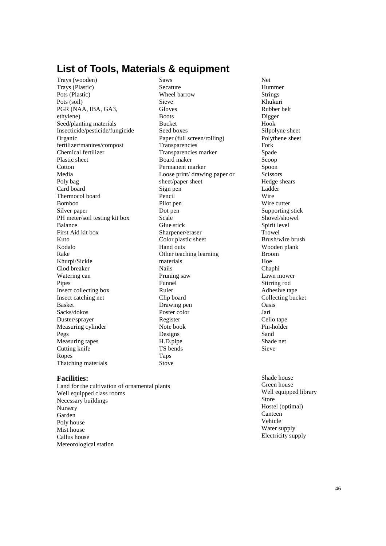### **List of Tools, Materials & equipment**

Trays (wooden) Trays (Plastic) Pots (Plastic) Pots (soil) PGR (NAA, IBA, GA3, ethylene) Seed/planting materials Insecticide/pesticide/fungicide Organic fertilizer/manires/compost Chemical fertilizer Plastic sheet **Cotton** Media Poly bag Card board Thermocol board Bomboo Silver paper PH meter/soil testing kit box Balance First Aid kit box Kuto Kodalo Rake Khurpi/Sickle Clod breaker Watering can Pipes Insect collecting box Insect catching net Basket Sacks/dokos Duster/sprayer Measuring cylinder Pegs Measuring tapes Cutting knife Ropes Thatching materials

#### **Facilities:**

Land for the cultivation of ornamental plants Well equipped class rooms Necessary buildings Nursery Garden Poly house Mist house Callus house Meteorological station

Saws Secature Wheel barrow Sieve Gloves **Boots** Bucket Seed boxes Paper (full screen/rolling) Transparencies Transparencies marker Board maker Permanent marker Loose print/ drawing paper or sheet/paper sheet Sign pen Pencil Pilot pen Dot pen Scale Glue stick Sharpener/eraser Color plastic sheet Hand outs Other teaching learning materials Nails Pruning saw Funnel Ruler Clip board Drawing pen Poster color Register Note book Designs H.D.pipe TS bends Taps Stove

Net Hummer Strings Khukuri Rubber belt Digger Hook Silpolyne sheet Polythene sheet Fork Spade Scoop Spoon **Scissors** Hedge shears Ladder Wire Wire cutter Supporting stick Shovel/showel Spirit level Trowel Brush/wire brush Wooden plank Broom Hoe Chaphi Lawn mower Stirring rod Adhesive tape Collecting bucket Oasis Jari Cello tape Pin-holder Sand Shade net Sieve

Shade house Green house Well equipped library Store Hostel (optimal) Canteen Vehicle Water supply Electricity supply